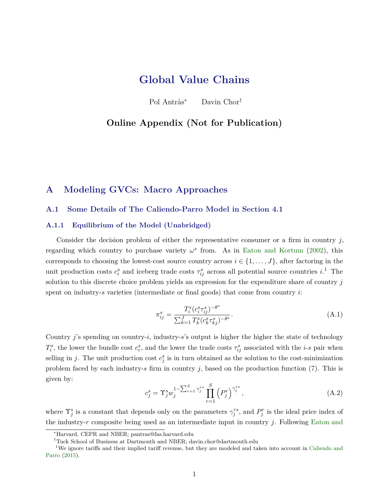# <span id="page-0-0"></span>**Global Value Chains**

Pol Antràs<sup>∗</sup> Davin Chor†

# **Online Appendix (Not for Publication)**

# **A Modeling GVCs: Macro Approaches**

# **A.1 Some Details of The Caliendo-Parro Model in Section 4.1**

#### **A.1.1 Equilibrium of the Model (Unabridged)**

Consider the decision problem of either the representative consumer or a firm in country *j*, regarding which country to purchase variety  $\omega^s$  from. As in [Eaton and Kortum](#page-34-0) [\(2002\)](#page-34-0), this corresponds to choosing the lowest-cost source country across  $i \in \{1, \ldots, J\}$ , after factoring in the unit production costs  $c_i^s$  and iceberg trade costs  $\tau_{ij}^s$  across all potential source countries  $i$ .<sup>1</sup> The solution to this discrete choice problem yields an expression for the expenditure share of country *j* spent on industry-*s* varieties (intermediate or final goods) that come from country *i*:

$$
\pi_{ij}^s = \frac{T_i^s (c_i^s \tau_{ij}^s)^{-\theta^s}}{\sum_{k=1}^J T_k^s (c_k^s \tau_{kj}^s)^{-\theta^s}}.
$$
\n(A.1)

Country *j*'s spending on country-*i*, industry-*s*'s output is higher the higher the state of technology  $T_i^s$ , the lower the bundle cost  $c_i^s$ , and the lower the trade costs  $\tau_{ij}^s$  associated with the *i*-*s* pair when selling in *j*. The unit production cost  $c_j^s$  is in turn obtained as the solution to the cost-minimization problem faced by each industry-*s* firm in country *j*, based on the production function (7). This is given by:

$$
c_j^s = \Upsilon_j^s w_j^{1 - \sum_{r=1}^S \gamma_j^{rs} \prod_{r=1}^S (P_j^r)^{\gamma_j^{rs}}, \tag{A.2}
$$

where  $\Upsilon_j^s$  is a constant that depends only on the parameters  $\gamma_j^{rs}$ , and  $P_j^r$  is the ideal price index of the industry-*r* composite being used as an intermediate input in country *j*. Following [Eaton and](#page-34-0)

<sup>∗</sup>[Harvard, CEPR and NBER; pantras@fas.harvard.edu](#page-34-0)

<sup>†</sup>[Tuck School of Business at Dartmouth and NBER; davin.chor@dartmouth.edu](#page-34-0)

<sup>&</sup>lt;sup>1</sup>[We ignore tariffs and their implied tariff revenue, but they are modeled and taken into account in](#page-34-0) [Caliendo and](#page-33-0) [Parro](#page-33-0) [\(2015\).](#page-34-0)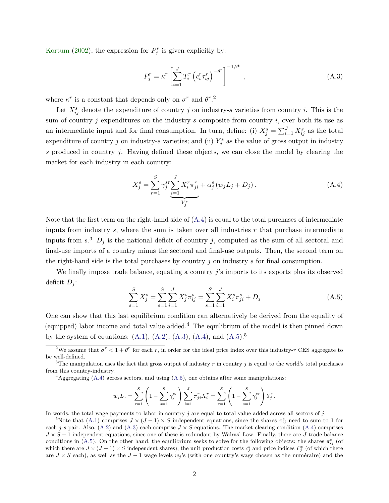<span id="page-1-0"></span>[Kortum](#page-34-0) [\(2002\)](#page-34-0), the expression for  $P_j^r$  is given explicitly by:

$$
P_j^r = \kappa^r \left[ \sum_{i=1}^J T_i^r \left( c_i^r \tau_{ij}^r \right)^{-\theta^r} \right]^{-1/\theta^r}, \tag{A.3}
$$

where  $\kappa^r$  is a constant that depends only on  $\sigma^r$  and  $\theta^r$ .<sup>2</sup>

Let  $X_{ij}^s$  denote the expenditure of country *j* on industry-*s* varieties from country *i*. This is the sum of country-*j* expenditures on the industry-*s* composite from country *i*, over both its use as an intermediate input and for final consumption. In turn, define: (i)  $X_j^s = \sum_{i=1}^J X_{ij}^s$  as the total expenditure of country *j* on industry-*s* varieties; and (ii)  $Y_j^s$  as the value of gross output in industry *s* produced in country *j*. Having defined these objects, we can close the model by clearing the market for each industry in each country:

$$
X_j^s = \sum_{r=1}^S \gamma_j^{sr} \sum_{i=1}^J X_i^r \pi_{ji}^r + \alpha_j^s (w_j L_j + D_j).
$$
 (A.4)

Note that the first term on the right-hand side of  $(A.4)$  is equal to the total purchases of intermediate inputs from industry *s*, where the sum is taken over all industries *r* that purchase intermediate inputs from  $s^3$   $D_j$  is the national deficit of country *j*, computed as the sum of all sectoral and final-use imports of a country minus the sectoral and final-use outputs. Then, the second term on the right-hand side is the total purchases by country *j* on industry *s* for final consumption.

We finally impose trade balance, equating a country *j*'s imports to its exports plus its observed deficit  $D_i$ :

$$
\sum_{s=1}^{S} X_j^s = \sum_{s=1}^{S} \sum_{i=1}^{J} X_j^s \pi_{ij}^s = \sum_{s=1}^{S} \sum_{i=1}^{J} X_i^s \pi_{ji}^s + D_j
$$
\n(A.5)

One can show that this last equilibrium condition can alternatively be derived from the equality of (equipped) labor income and total value added.<sup>4</sup> The equilibrium of the model is then pinned down by the system of equations:  $(A.1)$ ,  $(A.2)$ ,  $(A.3)$ ,  $(A.4)$ , and  $(A.5)$ .<sup>5</sup>

 ${}^{4}$ Aggregating (A.4) across sectors, and using (A.5), one obtains after some manipulations:

$$
w_j L_j = \sum_{r=1}^S \left(1 - \sum_{s=1}^S \gamma_j^{sr}\right) \sum_{i=1}^J \pi_{ji}^r X_i^r = \sum_{r=1}^S \left(1 - \sum_{s=1}^S \gamma_j^{sr}\right) Y_j^r.
$$

In words, the total wage payments to labor in country *j* are equal to total value added across all sectors of *j*.

<sup>5</sup>Note that [\(A.1\)](#page-0-0) comprises  $J \times (J-1) \times S$  independent equations, since the shares  $\pi_{ij}^s$  need to sum to 1 for each *j*-*s* pair. Also, [\(A.2\)](#page-0-0) and (A.3) each comprise  $J \times S$  equations. The market clearing condition (A.4) comprises *J* × *S* − 1 independent equations, since one of these is redundant by Walras' Law. Finally, there are *J* trade balance conditions in (A.5). On the other hand, the equilibrium seeks to solve for the following objects: the shares  $\pi_{ij}^s$  (of which there are  $J \times (J-1) \times S$  independent shares), the unit production costs  $c_j^s$  and price indices  $P_j^s$  (of which there are *J* × *S* each), as well as the *J* − 1 wage levels *w<sup>j</sup>* 's (with one country's wage chosen as the numéraire) and the

<sup>&</sup>lt;sup>2</sup>We assume that  $\sigma^r < 1 + \theta^r$  for each *r*, in order for the ideal price index over this industry-*r* CES aggregate to be well-defined.

<sup>&</sup>lt;sup>3</sup>The manipulation uses the fact that gross output of industry  $r$  in country  $j$  is equal to the world's total purchases from this country-industry.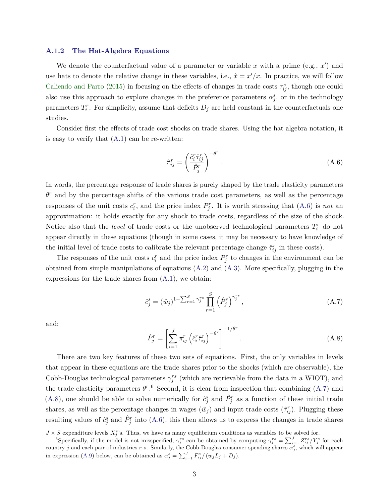#### <span id="page-2-0"></span>**A.1.2 The Hat-Algebra Equations**

We denote the counterfactual value of a parameter or variable  $x$  with a prime (e.g.,  $x'$ ) and use hats to denote the relative change in these variables, i.e.,  $\hat{x} = x'/x$ . In practice, we will follow [Caliendo and Parro](#page-33-0) [\(2015\)](#page-33-0) in focusing on the effects of changes in trade costs  $\tau_{ij}^s$ , though one could also use this approach to explore changes in the preference parameters  $\alpha_j^s$ , or in the technology parameters  $T_i^r$ . For simplicity, assume that deficits  $D_j$  are held constant in the counterfactuals one studies.

Consider first the effects of trade cost shocks on trade shares. Using the hat algebra notation, it is easy to verify that  $(A.1)$  can be re-written:

$$
\hat{\pi}_{ij}^r = \left(\frac{\hat{c}_i^r \hat{\tau}_{ij}^r}{\hat{P}_j^r}\right)^{-\theta^r}.\tag{A.6}
$$

In words, the percentage response of trade shares is purely shaped by the trade elasticity parameters  $\theta^r$  and by the percentage shifts of the various trade cost parameters, as well as the percentage responses of the unit costs  $c_i^r$ , and the price index  $P_j^r$ . It is worth stressing that (A.6) is *not* an approximation: it holds exactly for any shock to trade costs, regardless of the size of the shock. Notice also that the *level* of trade costs or the unobserved technological parameters  $T_i^r$  do not appear directly in these equations (though in some cases, it may be necessary to have knowledge of the initial level of trade costs to calibrate the relevant percentage change  $\hat{\tau}_{ij}^r$  in these costs).

The responses of the unit costs  $c_i^r$  and the price index  $P_j^r$  to changes in the environment can be obtained from simple manipulations of equations [\(A.2\)](#page-0-0) and [\(A.3\)](#page-1-0). More specifically, plugging in the expressions for the trade shares from  $(A.1)$ , we obtain:

$$
\hat{c}_j^s = (\hat{w}_j)^{1 - \sum_{r=1}^S \gamma_j^{rs}} \prod_{r=1}^S (\hat{P}_j^r)^{\gamma_j^{rs}}, \tag{A.7}
$$

and:

$$
\hat{P}_j^r = \left[ \sum_{i=1}^J \pi_{ij}^r \left( \hat{c}_i^r \hat{\tau}_{ij}^r \right)^{-\theta^r} \right]^{-1/\theta^r} . \tag{A.8}
$$

There are two key features of these two sets of equations. First, the only variables in levels that appear in these equations are the trade shares prior to the shocks (which are observable), the Cobb-Douglas technological parameters  $\gamma_j^{rs}$  (which are retrievable from the data in a WIOT), and the trade elasticity parameters  $\theta^r$ <sup>6</sup>. Second, it is clear from inspection that combining (A.7) and (A.8), one should be able to solve numerically for  $\hat{c}^s_j$  and  $\hat{P}^r_j$  as a function of these initial trade shares, as well as the percentage changes in wages  $(\hat{w}_j)$  and input trade costs  $(\hat{\tau}_{ij}^r)$ . Plugging these resulting values of  $\hat{c}_j^s$  and  $\hat{P}_j^r$  into (A.6), this then allows us to express the changes in trade shares

 $J \times S$  expenditure levels  $X_j^s$ 's. Thus, we have as many equilibrium conditions as variables to be solved for.

<sup>&</sup>lt;sup>6</sup>Specifically, if the model is not misspecified,  $\gamma_j^{rs}$  can be obtained by computing  $\gamma_j^{rs} = \sum_{i=1}^J Z_{ij}^{rs}/Y_j^s$  for each country *j* and each pair of industries *r*-*s*. Similarly, the Cobb-Douglas consumer spending shares  $\alpha_j^s$ , which will appear in expression [\(A.9\)](#page-3-0) below, can be obtained as  $\alpha_j^s = \sum_{i=1}^J F_{ij}^s / (w_j L_j + D_j)$ .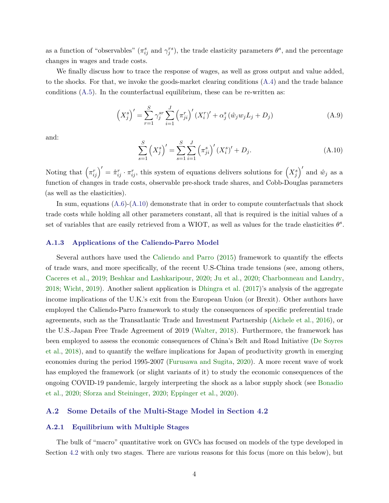<span id="page-3-0"></span>as a function of "observables" ( $\pi_{ij}^s$  and  $\gamma_j^{rs}$ ), the trade elasticity parameters  $\theta^s$ , and the percentage changes in wages and trade costs.

We finally discuss how to trace the response of wages, as well as gross output and value added, to the shocks. For that, we invoke the goods-market clearing conditions [\(A.4\)](#page-1-0) and the trade balance conditions  $(A.5)$ . In the counterfactual equilibrium, these can be re-written as:

$$
\left(X_j^s\right)' = \sum_{r=1}^S \gamma_j^{sr} \sum_{i=1}^J \left(\pi_{ji}^r\right)' (X_i^r)' + \alpha_j^s \left(\hat{w}_j w_j L_j + D_j\right) \tag{A.9}
$$

and:

$$
\sum_{s=1}^{S} (X_j^s)' = \sum_{s=1}^{S} \sum_{i=1}^{J} (\pi_{ji}^s)' (X_i^s)' + D_j.
$$
\n(A.10)

Noting that  $(\pi_{ij}^r)' = \hat{\pi}_{ij}^r \cdot \pi_{ij}^r$ , this system of equations delivers solutions for  $(X_j^s)'$  and  $\hat{w}_j$  as a function of changes in trade costs, observable pre-shock trade shares, and Cobb-Douglas parameters (as well as the elasticities).

In sum, equations  $(A.6)-(A.10)$  $(A.6)-(A.10)$  demonstrate that in order to compute counterfactuals that shock trade costs while holding all other parameters constant, all that is required is the initial values of a set of variables that are easily retrieved from a WIOT, as well as values for the trade elasticities  $\theta^s$ .

#### **A.1.3 Applications of the Caliendo-Parro Model**

Several authors have used the [Caliendo and Parro](#page-33-0) [\(2015\)](#page-33-0) framework to quantify the effects of trade wars, and more specifically, of the recent U.S-China trade tensions (see, among others, [Caceres et al.,](#page-33-0) [2019;](#page-33-0) [Beshkar and Lashkaripour,](#page-33-0) [2020;](#page-33-0) [Ju et al.,](#page-36-0) [2020;](#page-36-0) [Charbonneau and Landry,](#page-34-0) [2018;](#page-34-0) [Wicht,](#page-37-0) [2019\)](#page-37-0). Another salient application is [Dhingra et al.](#page-34-0) [\(2017\)](#page-34-0)'s analysis of the aggregate income implications of the U.K.'s exit from the European Union (or Brexit). Other authors have employed the Caliendo-Parro framework to study the consequences of specific preferential trade agreements, such as the Transatlantic Trade and Investment Partnership [\(Aichele et al.,](#page-32-0) [2016\)](#page-32-0), or the U.S.-Japan Free Trade Agreement of 2019 [\(Walter,](#page-37-0) [2018\)](#page-37-0). Furthermore, the framework has been employed to assess the economic consequences of China's Belt and Road Initiative [\(De Soyres](#page-34-0) [et al.,](#page-34-0) [2018\)](#page-34-0), and to quantify the welfare implications for Japan of productivity growth in emerging economies during the period 1995-2007 [\(Furusawa and Sugita,](#page-35-0) [2020\)](#page-35-0). A more recent wave of work has employed the framework (or slight variants of it) to study the economic consequences of the ongoing COVID-19 pandemic, largely interpreting the shock as a labor supply shock (see [Bonadio](#page-33-0) [et al.,](#page-33-0) [2020;](#page-33-0) [Sforza and Steininger,](#page-37-0) [2020;](#page-37-0) [Eppinger et al.,](#page-34-0) [2020\)](#page-34-0).

## **A.2 Some Details of the Multi-Stage Model in Section [4.2](#page-0-0)**

#### **A.2.1 Equilibrium with Multiple Stages**

The bulk of "macro" quantitative work on GVCs has focused on models of the type developed in Section [4.2](#page-0-0) with only two stages. There are various reasons for this focus (more on this below), but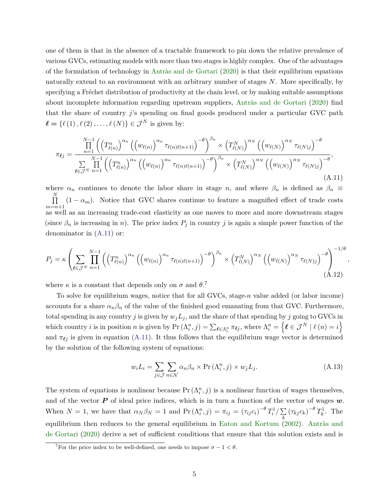<span id="page-4-0"></span>one of them is that in the absence of a tractable framework to pin down the relative prevalence of various GVCs, estimating models with more than two stages is highly complex. One of the advantages of the formulation of technology in [Antràs and de Gortari](#page-32-0) [\(2020\)](#page-32-0) is that their equilibrium equations naturally extend to an environment with an arbitrary number of stages *N*. More specifically, by specifying a Fréchet distribution of productivity at the chain level, or by making suitable assumptions about incomplete information regarding upstream suppliers, [Antràs and de Gortari](#page-32-0) [\(2020\)](#page-32-0) find that the share of country *j*'s spending on final goods produced under a particular GVC path  $\ell = {\ell (1), \ell (2), \ldots, \ell (N)} \in \mathcal{J}^N$  is given by:

$$
\pi_{\ell j} = \frac{\prod_{n=1}^{N-1} \left( \left( T_{\ell(n)}^n \right)^{\alpha_n} \left( \left( w_{\ell(n)} \right)^{\alpha_n} \tau_{\ell(n)\ell(n+1)} \right)^{-\theta} \right)^{\beta_n} \times \left( T_{\ell(N)}^N \right)^{\alpha_N} \left( \left( w_{\ell(N)} \right)^{\alpha_N} \tau_{\ell(N)j} \right)^{-\theta}}{\sum_{\ell \in \mathcal{J}^N} \prod_{n=1}^{N-1} \left( \left( T_{\ell(n)}^n \right)^{\alpha_n} \left( \left( w_{\ell(n)} \right)^{\alpha_n} \tau_{\ell(n)\ell(n+1)} \right)^{-\theta} \right)^{\beta_n} \times \left( T_{\ell(N)}^N \right)^{\alpha_N} \left( \left( w_{\ell(N)} \right)^{\alpha_N} \tau_{\ell(N)j} \right)^{-\theta}},\tag{A.11}
$$

where  $\alpha_n$  continues to denote the labor share in stage *n*, and where  $\beta_n$  is defined as  $\beta_n \equiv$ Q *N*  $\prod_{m=n+1} (1 - \alpha_m)$ . Notice that GVC shares continue to feature a magnified effect of trade costs as well as an increasing trade-cost elasticity as one moves to more and more downstream stages (since  $\beta_n$  is increasing in *n*). The price index  $P_j$  in country *j* is again a simple power function of the denominator in (A.11) or:

$$
P_j = \kappa \left( \sum_{\ell \in \mathcal{J}^N} \prod_{n=1}^{N-1} \left( \left( T^n_{\ell(n)} \right)^{\alpha_n} \left( \left( w_{\ell(n)} \right)^{\alpha_n} \tau_{\ell(n)\ell(n+1)} \right)^{-\theta} \right)^{\beta_n} \times \left( T^N_{\ell(N)} \right)^{\alpha_N} \left( \left( w_{\ell(N)} \right)^{\alpha_N} \tau_{\ell(N)j} \right)^{-\theta} \right)^{-1/\theta}, \tag{A.12}
$$

where  $\kappa$  is a constant that depends only on  $\sigma$  and  $\theta$ .<sup>7</sup>

To solve for equilibrium wages, notice that for all GVCs, stage-*n* value added (or labor income) accounts for a share  $\alpha_n \beta_n$  of the value of the finished good emanating from that GVC. Furthermore, total spending in any country *j* is given by  $w_j L_j$ , and the share of that spending by *j* going to GVCs in which country *i* is in position *n* is given by  $Pr(\Lambda_i^n, j) = \sum_{\ell \in \Lambda_i^n} \pi_{\ell j}$ , where  $\Lambda_i^n = \{ \ell \in \mathcal{J}^N \mid \ell(n) = i \}$ and  $\pi_{\ell j}$  is given in equation (A.11). It thus follows that the equilibrium wage vector is determined by the solution of the following system of equations:

$$
w_i L_i = \sum_{j \in \mathcal{J}} \sum_{n \in \mathcal{N}} \alpha_n \beta_n \times \Pr(\Lambda_i^n, j) \times w_j L_j.
$$
 (A.13)

The system of equations is nonlinear because  $Pr(\Lambda_i^n, j)$  is a nonlinear function of wages themselves, and of the vector *P* of ideal price indices, which is in turn a function of the vector of wages *w*. When  $N = 1$ , we have that  $\alpha_N \beta_N = 1$  and  $\Pr(\Lambda_i^n, j) = \pi_{ij} = (\tau_{ij} c_i)^{-\theta} T_i^1 / \sum_{i=1}^{N}$  $\sum_{k} (\tau_{kj} c_k)^{-\theta} T_k^1$ . The equilibrium then reduces to the general equilibrium in [Eaton and Kortum](#page-34-0) [\(2002\)](#page-34-0). [Antràs and](#page-32-0) [de Gortari](#page-32-0) [\(2020\)](#page-32-0) derive a set of sufficient conditions that ensure that this solution exists and is

<sup>&</sup>lt;sup>7</sup>For the price index to be well-defined, one needs to impose  $\sigma - 1 < \theta$ .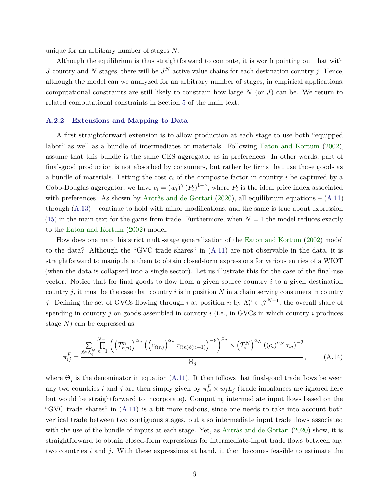unique for an arbitrary number of stages *N*.

Although the equilibrium is thus straightforward to compute, it is worth pointing out that with *J* country and *N* stages, there will be  $J<sup>N</sup>$  active value chains for each destination country *j*. Hence, although the model can we analyzed for an arbitrary number of stages, in empirical applications, computational constraints are still likely to constrain how large *N* (or *J*) can be. We return to related computational constraints in Section [5](#page-0-0) of the main text.

#### **A.2.2 Extensions and Mapping to Data**

A first straightforward extension is to allow production at each stage to use both "equipped labor" as well as a bundle of intermediates or materials. Following [Eaton and Kortum](#page-34-0) [\(2002\)](#page-34-0), assume that this bundle is the same CES aggregator as in preferences. In other words, part of final-good production is not absorbed by consumers, but rather by firms that use those goods as a bundle of materials. Letting the cost  $c_i$  of the composite factor in country  $i$  be captured by a Cobb-Douglas aggregator, we have  $c_i = (w_i)^\gamma (P_i)^{1-\gamma}$ , where  $P_i$  is the ideal price index associated with preferences. As shown by [Antràs and de Gortari](#page-32-0) [\(2020\)](#page-32-0), all equilibrium equations –  $(A.11)$ through [\(A.13\)](#page-4-0) – continue to hold with minor modifications, and the same is true about expression  $(15)$  in the main text for the gains from trade. Furthermore, when  $N = 1$  the model reduces exactly to the [Eaton and Kortum](#page-34-0) [\(2002\)](#page-34-0) model.

How does one map this strict multi-stage generalization of the [Eaton and Kortum](#page-34-0) [\(2002\)](#page-34-0) model to the data? Although the "GVC trade shares" in [\(A.11\)](#page-4-0) are not observable in the data, it is straightforward to manipulate them to obtain closed-form expressions for various entries of a WIOT (when the data is collapsed into a single sector). Let us illustrate this for the case of the final-use vector. Notice that for final goods to flow from a given source country *i* to a given destination country  $j$ , it must be the case that country  $i$  is in position  $N$  in a chain serving consumers in country *j*. Defining the set of GVCs flowing through *i* at position *n* by  $\Lambda_i^n \in \mathcal{J}^{N-1}$ , the overall share of spending in country *j* on goods assembled in country *i* (i.e., in GVCs in which country *i* produces stage *N*) can be expressed as:

$$
\pi_{ij}^F = \frac{\sum\limits_{\ell \in \Lambda_i^N} \prod\limits_{n=1}^{N-1} \left( \left( T_{\ell(n)}^n \right)^{\alpha_n} \left( \left( c_{\ell(n)} \right)^{\alpha_n} \tau_{\ell(n)\ell(n+1)} \right)^{-\theta} \right)^{\beta_n} \times \left( T_i^N \right)^{\alpha_N} \left( (c_i)^{\alpha_N} \tau_{ij} \right)^{-\theta}}{\Theta_j}, \tag{A.14}
$$

where  $\Theta_i$  is the denominator in equation [\(A.11\)](#page-4-0). It then follows that final-good trade flows between any two countries *i* and *j* are then simply given by  $\pi_{ij}^F \times w_j L_j$  (trade imbalances are ignored here but would be straightforward to incorporate). Computing intermediate input flows based on the "GVC trade shares" in [\(A.11\)](#page-4-0) is a bit more tedious, since one needs to take into account both vertical trade between two contiguous stages, but also intermediate input trade flows associated with the use of the bundle of inputs at each stage. Yet, as [Antràs and de Gortari](#page-32-0) [\(2020\)](#page-32-0) show, it is straightforward to obtain closed-form expressions for intermediate-input trade flows between any two countries *i* and *j*. With these expressions at hand, it then becomes feasible to estimate the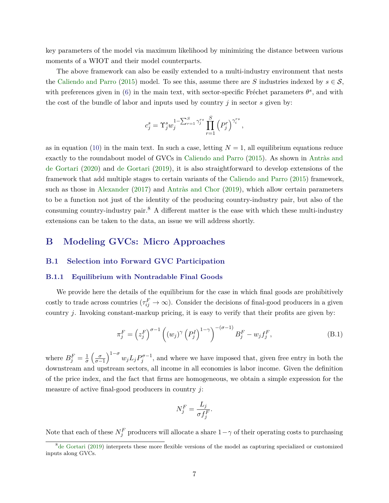<span id="page-6-0"></span>key parameters of the model via maximum likelihood by minimizing the distance between various moments of a WIOT and their model counterparts.

The above framework can also be easily extended to a multi-industry environment that nests the [Caliendo and Parro](#page-33-0) [\(2015\)](#page-33-0) model. To see this, assume there are *S* industries indexed by  $s \in S$ , with preferences given in [\(6\)](#page-0-0) in the main text, with sector-specific Fréchet parameters  $\theta^s$ , and with the cost of the bundle of labor and inputs used by country *j* in sector *s* given by:

$$
c_j^s = \Upsilon_j^s w_j^{1 - \sum_{r=1}^S \gamma_j^{rs}} \prod_{r=1}^S (P_j^r)^{\gamma_i^{rs}},
$$

as in equation [\(10\)](#page-0-0) in the main text. In such a case, letting  $N = 1$ , all equilibrium equations reduce exactly to the roundabout model of GVCs in [Caliendo and Parro](#page-33-0) [\(2015\)](#page-33-0). As shown in [Antràs and](#page-32-0) [de Gortari](#page-32-0) [\(2020\)](#page-32-0) and [de Gortari](#page-34-0) [\(2019\)](#page-34-0), it is also straightforward to develop extensions of the framework that add multiple stages to certain variants of the [Caliendo and Parro](#page-33-0) [\(2015\)](#page-33-0) framework, such as those in [Alexander](#page-32-0) [\(2017\)](#page-32-0) and [Antràs and Chor](#page-32-0) [\(2019\)](#page-32-0), which allow certain parameters to be a function not just of the identity of the producing country-industry pair, but also of the consuming country-industry pair.<sup>8</sup> A different matter is the ease with which these multi-industry extensions can be taken to the data, an issue we will address shortly.

# **B Modeling GVCs: Micro Approaches**

## **B.1 Selection into Forward GVC Participation**

## **B.1.1 Equilibrium with Nontradable Final Goods**

We provide here the details of the equilibrium for the case in which final goods are prohibitively costly to trade across countries  $(\tau_{ij}^F \to \infty)$ . Consider the decisions of final-good producers in a given country *j*. Invoking constant-markup pricing, it is easy to verify that their profits are given by:

$$
\pi_j^F = \left(z_j^F\right)^{\sigma-1} \left((w_j)^\gamma \left(P_j^I\right)^{1-\gamma}\right)^{-(\sigma-1)} B_j^F - w_j f_j^F,\tag{B.1}
$$

where  $B_j^F = \frac{1}{\sigma}$  $\frac{1}{\sigma} \left( \frac{\sigma}{\sigma - 1} \right)^{1-\sigma} w_j L_j P_j^{\sigma-1}$ , and where we have imposed that, given free entry in both the downstream and upstream sectors, all income in all economies is labor income. Given the definition of the price index, and the fact that firms are homogeneous, we obtain a simple expression for the measure of active final-good producers in country *j*:

$$
N_j^F = \frac{L_j}{\sigma f_j^F}.
$$

Note that each of these  $N_f^F$  producers will allocate a share  $1-\gamma$  of their operating costs to purchasing

 $8\text{de Gortari}$  $8\text{de Gortari}$  $8\text{de Gortari}$  [\(2019\)](#page-34-0) interprets these more flexible versions of the model as capturing specialized or customized inputs along GVCs.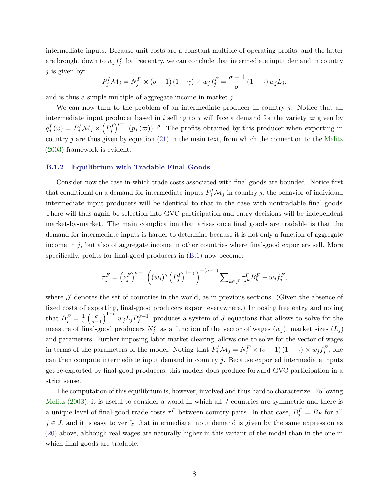intermediate inputs. Because unit costs are a constant multiple of operating profits, and the latter are brought down to  $w_j f_j^F$  by free entry, we can conclude that intermediate input demand in country *j* is given by:

$$
P_j^I \mathcal{M}_j = N_j^F \times (\sigma - 1) (1 - \gamma) \times w_j f_j^F = \frac{\sigma - 1}{\sigma} (1 - \gamma) w_j L_j,
$$

and is thus a simple multiple of aggregate income in market *j*.

We can now turn to the problem of an intermediate producer in country *j*. Notice that an intermediate input producer based in *i* selling to *j* will face a demand for the variety  $\varpi$  given by  $q_j^I(\omega) = P_j^I \mathcal{M}_j \times (P_j^I)^{\rho-1} (p_j(\varpi))^{-\rho}$ . The profits obtained by this producer when exporting in country *j* are thus given by equation [\(21\)](#page-0-0) in the main text, from which the connection to the [Melitz](#page-36-0) [\(2003\)](#page-36-0) framework is evident.

#### **B.1.2 Equilibrium with Tradable Final Goods**

Consider now the case in which trade costs associated with final goods are bounded. Notice first that conditional on a demand for intermediate inputs  $P_j^I \mathcal{M}_j$  in country *j*, the behavior of individual intermediate input producers will be identical to that in the case with nontradable final goods. There will thus again be selection into GVC participation and entry decisions will be independent market-by-market. The main complication that arises once final goods are tradable is that the demand for intermediate inputs is harder to determine because it is not only a function of aggregate income in *j*, but also of aggregate income in other countries where final-good exporters sell. More specifically, profits for final-good producers in  $(B.1)$  now become:

$$
\pi_j^F = \left(z_j^F\right)^{\sigma-1} \left((w_j)^\gamma \left(P_j^I\right)^{1-\gamma}\right)^{-\left(\sigma-1\right)} \sum_{k \in \mathcal{J}} \tau_{jk}^F B_k^F - w_j f_j^F,
$$

where  $J$  denotes the set of countries in the world, as in previous sections. (Given the absence of fixed costs of exporting, final-good producers export everywhere.) Imposing free entry and noting that  $B_j^F = \frac{1}{\sigma}$  $\frac{1}{\sigma} \left( \frac{\sigma}{\sigma-1} \right)^{1-\sigma} w_j L_j P_j^{\sigma-1}$ , produces a system of *J* equations that allows to solve for the measure of final-good producers  $N_f^F$  as a function of the vector of wages  $(w_j)$ , market sizes  $(L_j)$ and parameters. Further imposing labor market clearing, allows one to solve for the vector of wages in terms of the parameters of the model. Noting that  $P_j^I \mathcal{M}_j = N_j^F \times (\sigma - 1)(1 - \gamma) \times w_j f_j^F$ , one can then compute intermediate input demand in country *j*. Because exported intermediate inputs get re-exported by final-good producers, this models does produce forward GVC participation in a strict sense.

The computation of this equilibrium is, however, involved and thus hard to characterize. Following [Melitz](#page-36-0)  $(2003)$ , it is useful to consider a world in which all  $J$  countries are symmetric and there is a unique level of final-good trade costs  $\tau^F$  between country-pairs. In that case,  $B_j^F = B_F$  for all  $j \in J$ , and it is easy to verify that intermediate input demand is given by the same expression as [\(20\)](#page-0-0) above, although real wages are naturally higher in this variant of the model than in the one in which final goods are tradable.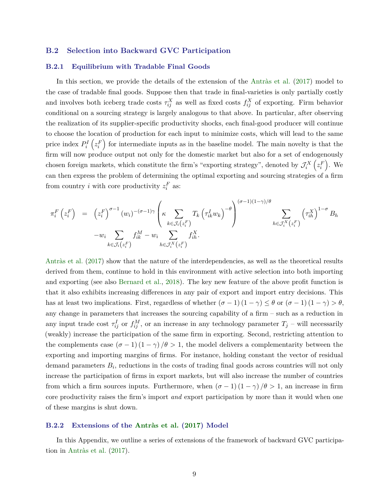## **B.2 Selection into Backward GVC Participation**

#### **B.2.1 Equilibrium with Tradable Final Goods**

In this section, we provide the details of the extension of the [Antràs et al.](#page-32-0) [\(2017\)](#page-32-0) model to the case of tradable final goods. Suppose then that trade in final-varieties is only partially costly and involves both iceberg trade costs  $\tau_{ij}^X$  as well as fixed costs  $f_{ij}^X$  of exporting. Firm behavior conditional on a sourcing strategy is largely analogous to that above. In particular, after observing the realization of its supplier-specific productivity shocks, each final-good producer will continue to choose the location of production for each input to minimize costs, which will lead to the same price index  $P_i^I(z_i^F)$  for intermediate inputs as in the baseline model. The main novelty is that the firm will now produce output not only for the domestic market but also for a set of endogenously chosen foreign markets, which constitute the firm's "exporting strategy", denoted by  $\mathcal{J}_i^X(z_i^F)$ . We can then express the problem of determining the optimal exporting and sourcing strategies of a firm from country *i* with core productivity  $z_i^F$  as:

$$
\pi_i^F(z_i^F) = (z_i^F)^{\sigma-1} (w_i)^{-(\sigma-1)\gamma} \left(\kappa \sum_{k \in \mathcal{J}_i(z_i^F)} T_k (\tau_{ik}^I w_k)^{-\theta}\right)^{(\sigma-1)(1-\gamma)/\theta} \sum_{h \in \mathcal{J}_i^X(z_i^F)} (\tau_{ih}^X)^{1-\sigma} B_h
$$
  

$$
-w_i \sum_{k \in \mathcal{J}_i(z_i^F)} f_{ik}^M - w_i \sum_{h \in \mathcal{J}_i^X(z_i^F)} f_{ih}^X.
$$

[Antràs et al.](#page-32-0) [\(2017\)](#page-32-0) show that the nature of the interdependencies, as well as the theoretical results derived from them, continue to hold in this environment with active selection into both importing and exporting (see also [Bernard et al.,](#page-33-0) [2018\)](#page-33-0). The key new feature of the above profit function is that it also exhibits increasing differences in any pair of export and import entry decisions. This has at least two implications. First, regardless of whether  $(\sigma - 1)(1 - \gamma) \leq \theta$  or  $(\sigma - 1)(1 - \gamma) > \theta$ , any change in parameters that increases the sourcing capability of a firm – such as a reduction in any input trade cost  $\tau_{ij}^I$  or  $f_{ij}^M$ , or an increase in any technology parameter  $T_j$  – will necessarily (weakly) increase the participation of the same firm in exporting. Second, restricting attention to the complements case  $(\sigma - 1)(1 - \gamma)/\theta > 1$ , the model delivers a complementarity between the exporting and importing margins of firms. For instance, holding constant the vector of residual demand parameters  $B_i$ , reductions in the costs of trading final goods across countries will not only increase the participation of firms in export markets, but will also increase the number of countries from which a firm sources inputs. Furthermore, when  $(\sigma - 1)(1 - \gamma)/\theta > 1$ , an increase in firm core productivity raises the firm's import *and* export participation by more than it would when one of these margins is shut down.

#### **B.2.2 Extensions of the [Antràs et al.](#page-32-0) [\(2017\)](#page-32-0) Model**

In this Appendix, we outline a series of extensions of the framework of backward GVC participation in [Antràs et al.](#page-32-0) [\(2017\)](#page-32-0).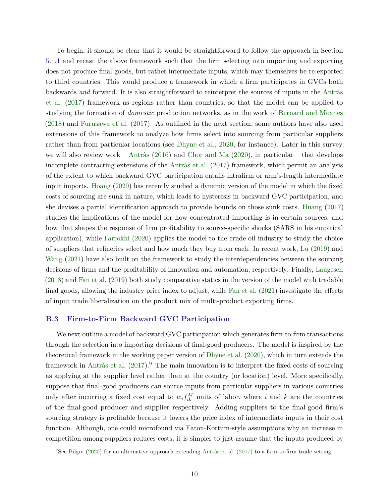To begin, it should be clear that it would be straightforward to follow the approach in Section [5.1.1](#page-0-0) and recast the above framework such that the firm selecting into importing and exporting does not produce final goods, but rather intermediate inputs, which may themselves be re-exported to third countries. This would produce a framework in which a firm participates in GVCs both backwards *and* forward. It is also straightforward to reinterpret the sources of inputs in the [Antràs](#page-32-0) [et al.](#page-32-0) [\(2017\)](#page-32-0) framework as regions rather than countries, so that the model can be applied to studying the formation of *domestic* production networks, as in the work of [Bernard and Moxnes](#page-33-0) [\(2018\)](#page-33-0) and [Furusawa et al.](#page-35-0) [\(2017\)](#page-35-0). As outlined in the next section, some authors have also used extensions of this framework to analyze how firms select into sourcing from particular suppliers rather than from particular locations (see [Dhyne et al.,](#page-34-0) [2020,](#page-34-0) for instance). Later in this survey, we will also review work – [Antràs](#page-32-0) [\(2016\)](#page-32-0) and [Chor and Ma](#page-34-0) [\(2020\)](#page-34-0), in particular – that develops incomplete-contracting extensions of the [Antràs et al.](#page-32-0) [\(2017\)](#page-32-0) framework, which permit an analysis of the extent to which backward GVC participation entails intrafirm or arm's-length intermediate input imports. [Hoang](#page-36-0) [\(2020\)](#page-36-0) has recently studied a dynamic version of the model in which the fixed costs of sourcing are sunk in nature, which leads to hysteresis in backward GVC participation, and she devises a partial identification approach to provide bounds on those sunk costs. [Huang](#page-36-0) [\(2017\)](#page-36-0) studies the implications of the model for how concentrated importing is in certain sources, and how that shapes the response of firm profitability to source-specific shocks (SARS in his empirical application), while [Farrokhi](#page-35-0) [\(2020\)](#page-35-0) applies the model to the crude oil industry to study the choice of suppliers that refineries select and how much they buy from each. In recent work, [Lu](#page-36-0) [\(2019\)](#page-36-0) and [Wang](#page-37-0) [\(2021\)](#page-37-0) have also built on the framework to study the interdependencies between the sourcing decisions of firms and the profitability of innovation and automation, respectively. Finally, [Laugesen](#page-36-0) [\(2018\)](#page-36-0) and [Fan et al.](#page-35-0) [\(2019\)](#page-35-0) both study comparative statics in the version of the model with tradable final goods, allowing the industry price index to adjust, while [Fan et al.](#page-35-0) [\(2021\)](#page-35-0) investigate the effects of input trade liberalization on the product mix of multi-product exporting firms.

# **B.3 Firm-to-Firm Backward GVC Participation**

We next outline a model of backward GVC participation which generates firm-to-firm transactions through the selection into importing decisions of final-good producers. The model is inspired by the theoretical framework in the working paper version of [Dhyne et al.](#page-34-0) [\(2020\)](#page-34-0), which in turn extends the framework in [Antràs et al.](#page-32-0)  $(2017).<sup>9</sup>$  $(2017).<sup>9</sup>$  The main innovation is to interpret the fixed costs of sourcing as applying at the supplier level rather than at the country (or location) level. More specifically, suppose that final-good producers can source inputs from particular suppliers in various countries only after incurring a fixed cost equal to  $w_i f_{ik}^M$  units of labor, where *i* and *k* are the countries of the final-good producer and supplier respectively. Adding suppliers to the final-good firm's sourcing strategy is profitable because it lowers the price index of intermediate inputs in their cost function. Although, one could microfound via Eaton-Kortum-style assumptions why an increase in competition among suppliers reduces costs, it is simpler to just assume that the inputs produced by

<sup>9</sup>See [Bilgin](#page-33-0) [\(2020\)](#page-33-0) for an alternative approach extending [Antràs et al.](#page-32-0) [\(2017\)](#page-32-0) to a firm-to-firm trade setting.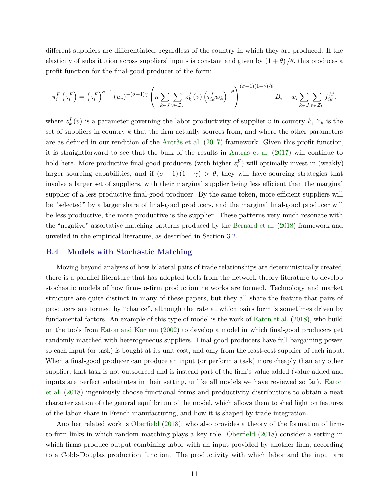different suppliers are differentiated, regardless of the country in which they are produced. If the elasticity of substitution across suppliers' inputs is constant and given by  $(1 + \theta)/\theta$ , this produces a profit function for the final-good producer of the form:

$$
\pi_i^F\left(z_i^F\right) = \left(z_i^F\right)^{\sigma-1}\left(w_i\right)^{-(\sigma-1)\gamma}\left(\kappa \sum_{k \in J} \sum_{v \in \mathcal{Z}_k} z_k^I\left(v\right) \left(\tau_{ik}^I w_k\right)^{-\theta}\right)^{(\sigma-1)(1-\gamma)/\theta} B_i - w_i \sum_{k \in J} \sum_{v \in \mathcal{Z}_k} f_{ik}^M,
$$

where  $z_k^I(v)$  is a parameter governing the labor productivity of supplier *v* in country *k*,  $\mathcal{Z}_k$  is the set of suppliers in country *k* that the firm actually sources from, and where the other parameters are as defined in our rendition of the [Antràs et al.](#page-32-0) [\(2017\)](#page-32-0) framework. Given this profit function, it is straightforward to see that the bulk of the results in [Antràs et al.](#page-32-0) [\(2017\)](#page-32-0) will continue to hold here. More productive final-good producers (with higher  $z_i^F$ ) will optimally invest in (weakly) larger sourcing capabilities, and if  $(\sigma - 1)(1 - \gamma) > \theta$ , they will have sourcing strategies that involve a larger set of suppliers, with their marginal supplier being less efficient than the marginal supplier of a less productive final-good producer. By the same token, more efficient suppliers will be "selected" by a larger share of final-good producers, and the marginal final-good producer will be less productive, the more productive is the supplier. These patterns very much resonate with the "negative" assortative matching patterns produced by the [Bernard et al.](#page-33-0) [\(2018\)](#page-33-0) framework and unveiled in the empirical literature, as described in Section [3.2.](#page-0-0)

## **B.4 Models with Stochastic Matching**

Moving beyond analyses of how bilateral pairs of trade relationships are deterministically created, there is a parallel literature that has adopted tools from the network theory literature to develop stochastic models of how firm-to-firm production networks are formed. Technology and market structure are quite distinct in many of these papers, but they all share the feature that pairs of producers are formed by "chance", although the rate at which pairs form is sometimes driven by fundamental factors. An example of this type of model is the work of [Eaton et al.](#page-34-0) [\(2018\)](#page-34-0), who build on the tools from [Eaton and Kortum](#page-34-0) [\(2002\)](#page-34-0) to develop a model in which final-good producers get randomly matched with heterogeneous suppliers. Final-good producers have full bargaining power, so each input (or task) is bought at its unit cost, and only from the least-cost supplier of each input. When a final-good producer can produce an input (or perform a task) more cheaply than any other supplier, that task is not outsourced and is instead part of the firm's value added (value added and inputs are perfect substitutes in their setting, unlike all models we have reviewed so far). [Eaton](#page-34-0) [et al.](#page-34-0) [\(2018\)](#page-34-0) ingeniously choose functional forms and productivity distributions to obtain a neat characterization of the general equilibrium of the model, which allows them to shed light on features of the labor share in French manufacturing, and how it is shaped by trade integration.

Another related work is [Oberfield](#page-37-0) [\(2018\)](#page-37-0), who also provides a theory of the formation of firmto-firm links in which random matching plays a key role. [Oberfield](#page-37-0) [\(2018\)](#page-37-0) consider a setting in which firms produce output combining labor with an input provided by another firm, according to a Cobb-Douglas production function. The productivity with which labor and the input are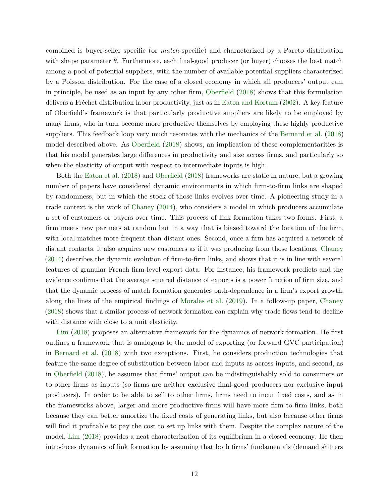combined is buyer-seller specific (or *match*-specific) and characterized by a Pareto distribution with shape parameter  $\theta$ . Furthermore, each final-good producer (or buyer) chooses the best match among a pool of potential suppliers, with the number of available potential suppliers characterized by a Poisson distribution. For the case of a closed economy in which all producers' output can, in principle, be used as an input by any other firm, [Oberfield](#page-37-0) [\(2018\)](#page-37-0) shows that this formulation delivers a Fréchet distribution labor productivity, just as in [Eaton and Kortum](#page-34-0) [\(2002\)](#page-34-0). A key feature of Oberfield's framework is that particularly productive suppliers are likely to be employed by many firms, who in turn become more productive themselves by employing these highly productive suppliers. This feedback loop very much resonates with the mechanics of the [Bernard et al.](#page-33-0) [\(2018\)](#page-33-0) model described above. As [Oberfield](#page-37-0) [\(2018\)](#page-37-0) shows, an implication of these complementarities is that his model generates large differences in productivity and size across firms, and particularly so when the elasticity of output with respect to intermediate inputs is high.

Both the [Eaton et al.](#page-34-0) [\(2018\)](#page-34-0) and [Oberfield](#page-37-0) [\(2018\)](#page-37-0) frameworks are static in nature, but a growing number of papers have considered dynamic environments in which firm-to-firm links are shaped by randomness, but in which the stock of those links evolves over time. A pioneering study in a trade context is the work of [Chaney](#page-34-0) [\(2014\)](#page-34-0), who considers a model in which producers accumulate a set of customers or buyers over time. This process of link formation takes two forms. First, a firm meets new partners at random but in a way that is biased toward the location of the firm, with local matches more frequent than distant ones. Second, once a firm has acquired a network of distant contacts, it also acquires new customers as if it was producing from those locations. [Chaney](#page-34-0) [\(2014\)](#page-34-0) describes the dynamic evolution of firm-to-firm links, and shows that it is in line with several features of granular French firm-level export data. For instance, his framework predicts and the evidence confirms that the average squared distance of exports is a power function of firm size, and that the dynamic process of match formation generates path-dependence in a firm's export growth, along the lines of the empirical findings of [Morales et al.](#page-37-0) [\(2019\)](#page-37-0). In a follow-up paper, [Chaney](#page-34-0) [\(2018\)](#page-34-0) shows that a similar process of network formation can explain why trade flows tend to decline with distance with close to a unit elasticity.

[Lim](#page-36-0) [\(2018\)](#page-36-0) proposes an alternative framework for the dynamics of network formation. He first outlines a framework that is analogous to the model of exporting (or forward GVC participation) in [Bernard et al.](#page-33-0) [\(2018\)](#page-33-0) with two exceptions. First, he considers production technologies that feature the same degree of substitution between labor and inputs as across inputs, and second, as in [Oberfield](#page-37-0) [\(2018\)](#page-37-0), he assumes that firms' output can be indistinguishably sold to consumers or to other firms as inputs (so firms are neither exclusive final-good producers nor exclusive input producers). In order to be able to sell to other firms, firms need to incur fixed costs, and as in the frameworks above, larger and more productive firms will have more firm-to-firm links, both because they can better amortize the fixed costs of generating links, but also because other firms will find it profitable to pay the cost to set up links with them. Despite the complex nature of the model, [Lim](#page-36-0) [\(2018\)](#page-36-0) provides a neat characterization of its equilibrium in a closed economy. He then introduces dynamics of link formation by assuming that both firms' fundamentals (demand shifters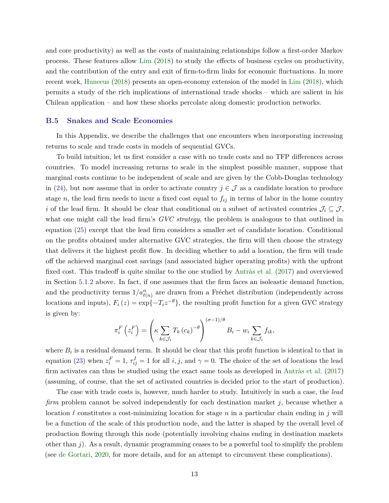and core productivity) as well as the costs of maintaining relationships follow a first-order Markov process. These features allow [Lim](#page-36-0) [\(2018\)](#page-36-0) to study the effects of business cycles on productivity, and the contribution of the entry and exit of firm-to-firm links for economic fluctuations. In more recent work, [Huneeus](#page-36-0) [\(2018\)](#page-36-0) presents an open-economy extension of the model in [Lim](#page-36-0) [\(2018\)](#page-36-0), which permits a study of the rich implications of international trade shocks – which are salient in his Chilean application – and how these shocks percolate along domestic production networks.

#### **B.5 Snakes and Scale Economies**

In this Appendix, we describe the challenges that one encounters when incorporating increasing returns to scale and trade costs in models of sequential GVCs.

To build intuition, let us first consider a case with no trade costs and no TFP differences across countries. To model increasing returns to scale in the simplest possible manner, suppose that marginal costs continue to be independent of scale and are given by the Cobb-Douglas technology in [\(24\)](#page-0-0), but now assume that in order to activate country  $j \in \mathcal{J}$  as a candidate location to produce stage *n*, the lead firm needs to incur a fixed cost equal to  $f_{ij}$  in terms of labor in the home country *i* of the lead firm. It should be clear that conditional on a subset of activated countries  $\mathcal{J}_i \subseteq \mathcal{J}$ , what one might call the lead firm's *GVC strategy*, the problem is analogous to that outlined in equation [\(25\)](#page-0-0) except that the lead firm considers a smaller set of candidate location. Conditional on the profits obtained under alternative GVC strategies, the firm will then choose the strategy that delivers it the highest profit flow. In deciding whether to add a location, the firm will trade off the achieved marginal cost savings (and associated higher operating profits) with the upfront fixed cost. This tradeoff is quite similar to the one studied by [Antràs et al.](#page-32-0) [\(2017\)](#page-32-0) and overviewed in Section [5.1.2](#page-0-0) above. In fact, if one assumes that the firm faces an isoleastic demand function, and the productivity terms  $1/a_{\ell(n)}^n$  are drawn from a Fréchet distribution (independently across locations and inputs),  $F_i(z) = \exp\{-T_i z^{-\theta}\}\$ , the resulting profit function for a given GVC strategy is given by:

$$
\pi_i^F\left(z_i^F\right) = \left(\kappa \sum_{k \in \mathcal{J}_i} T_k \left(c_k\right)^{-\theta}\right)^{(\sigma-1)/\theta} B_i - w_i \sum_{k \in \mathcal{J}_i} f_{ik},
$$

where  $B_i$  is a residual demand term. It should be clear that this profit function is identical to that in equation [\(23\)](#page-0-0) when  $z_i^F = 1$ ,  $\tau_{ij}^I = 1$  for all *i, j*, and  $\gamma = 0$ . The choice of the set of locations the lead firm activates can thus be studied using the exact same tools as developed in [Antràs et al.](#page-32-0) [\(2017\)](#page-32-0) (assuming, of course, that the set of activated countries is decided prior to the start of production).

The case with trade costs is, however, much harder to study. Intuitively in such a case, the *lead firm* problem cannot be solved independently for each destination market *j*, because whether a location  $\ell$  constitutes a cost-minimizing location for stage *n* in a particular chain ending in *j* will be a function of the scale of this production node, and the latter is shaped by the overall level of production flowing through this node (potentially involving chains ending in destination markets other than *j*). As a result, dynamic programming ceases to be a powerful tool to simplify the problem (see [de Gortari,](#page-34-0) [2020,](#page-34-0) for more details, and for an attempt to circumvent these complications).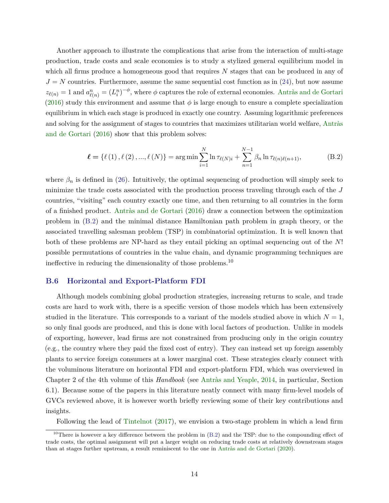Another approach to illustrate the complications that arise from the interaction of multi-stage production, trade costs and scale economies is to study a stylized general equilibrium model in which all firms produce a homogeneous good that requires N stages that can be produced in any of  $J = N$  countries. Furthermore, assume the same sequential cost function as in [\(24\)](#page-0-0), but now assume  $z_{\ell(n)} = 1$  and  $a_{\ell(n)}^n = (L_i^n)^{-\phi}$ , where  $\phi$  captures the role of external economies. [Antràs and de Gortari](#page-32-0) [\(2016\)](#page-32-0) study this environment and assume that  $\phi$  is large enough to ensure a complete specialization equilibrium in which each stage is produced in exactly one country. Assuming logarithmic preferences and solving for the assignment of stages to countries that maximizes utilitarian world welfare, [Antràs](#page-32-0) [and de Gortari](#page-32-0) [\(2016\)](#page-32-0) show that this problem solves:

$$
\ell = \{\ell (1), \ell (2), ..., \ell (N)\} = \arg \min \sum_{i=1}^{N} \ln \tau_{\ell (N)i} + \sum_{n=1}^{N-1} \beta_n \ln \tau_{\ell (n)\ell (n+1)},
$$
(B.2)

where  $\beta_n$  is defined in [\(26\)](#page-0-0). Intuitively, the optimal sequencing of production will simply seek to minimize the trade costs associated with the production process traveling through each of the *J* countries, "visiting" each country exactly one time, and then returning to all countries in the form of a finished product. [Antràs and de Gortari](#page-32-0) [\(2016\)](#page-32-0) draw a connection between the optimization problem in (B.2) and the minimal distance Hamiltonian path problem in graph theory, or the associated travelling salesman problem (TSP) in combinatorial optimization. It is well known that both of these problems are NP-hard as they entail picking an optimal sequencing out of the *N*! possible permutations of countries in the value chain, and dynamic programming techniques are ineffective in reducing the dimensionality of those problems.<sup>10</sup>

#### **B.6 Horizontal and Export-Platform FDI**

Although models combining global production strategies, increasing returns to scale, and trade costs are hard to work with, there is a specific version of those models which has been extensively studied in the literature. This corresponds to a variant of the models studied above in which  $N = 1$ , so only final goods are produced, and this is done with local factors of production. Unlike in models of exporting, however, lead firms are not constrained from producing only in the origin country (e.g., the country where they paid the fixed cost of entry). They can instead set up foreign assembly plants to service foreign consumers at a lower marginal cost. These strategies clearly connect with the voluminous literature on horizontal FDI and export-platform FDI, which was overviewed in Chapter 2 of the 4th volume of this *Handbook* (see [Antràs and Yeaple,](#page-33-0) [2014,](#page-33-0) in particular, Section 6.1). Because some of the papers in this literature neatly connect with many firm-level models of GVCs reviewed above, it is however worth briefly reviewing some of their key contributions and insights.

Following the lead of [Tintelnot](#page-37-0) [\(2017\)](#page-37-0), we envision a two-stage problem in which a lead firm

<sup>&</sup>lt;sup>10</sup>There is however a key difference between the problem in  $(B.2)$  and the TSP: due to the compounding effect of trade costs, the optimal assignment will put a larger weight on reducing trade costs at relatively downstream stages than at stages further upstream, a result reminiscent to the one in [Antràs and de Gortari](#page-32-0) [\(2020\)](#page-32-0).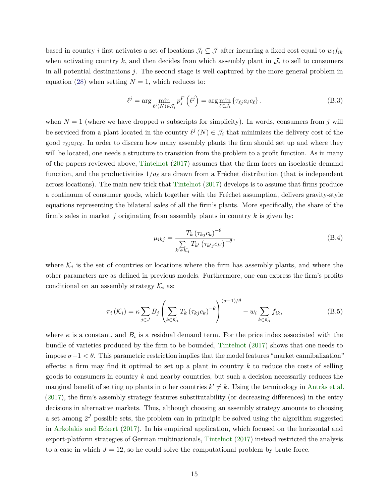based in country *i* first activates a set of locations  $\mathcal{J}_i \subseteq \mathcal{J}$  after incurring a fixed cost equal to  $w_i f_{ik}$ when activating country  $k$ , and then decides from which assembly plant in  $\mathcal{J}_i$  to sell to consumers in all potential destinations *j*. The second stage is well captured by the more general problem in equation [\(28\)](#page-0-0) when setting  $N = 1$ , which reduces to:

$$
\ell^j = \arg\min_{\ell^j(N)\in\mathcal{J}_i} p_j^F\left(\ell^j\right) = \arg\min_{\ell\in\mathcal{J}_i} \left\{\tau_{\ell^j} a_\ell c_\ell\right\}.
$$
 (B.3)

when  $N = 1$  (where we have dropped *n* subscripts for simplicity). In words, consumers from *j* will be serviced from a plant located in the country  $\ell^j(N) \in \mathcal{J}_i$  that minimizes the delivery cost of the good  $\tau_{\ell j} a_{\ell} c_{\ell}$ . In order to discern how many assembly plants the firm should set up and where they will be located, one needs a structure to transition from the problem to a profit function. As in many of the papers reviewed above, [Tintelnot](#page-37-0) [\(2017\)](#page-37-0) assumes that the firm faces an isoelastic demand function, and the productivities  $1/a_\ell$  are drawn from a Fréchet distribution (that is independent across locations). The main new trick that [Tintelnot](#page-37-0) [\(2017\)](#page-37-0) develops is to assume that firms produce a continuum of consumer goods, which together with the Fréchet assumption, delivers gravity-style equations representing the bilateral sales of all the firm's plants. More specifically, the share of the firm's sales in market *j* originating from assembly plants in country *k* is given by:

$$
\mu_{ikj} = \frac{T_k (\tau_{kj} c_k)^{-\theta}}{\sum_{k' \in \mathcal{K}_i} T_{k'} (\tau_{k'j} c_{k'})^{-\theta}},
$$
\n(B.4)

where  $\mathcal{K}_i$  is the set of countries or locations where the firm has assembly plants, and where the other parameters are as defined in previous models. Furthermore, one can express the firm's profits conditional on an assembly strategy  $\mathcal{K}_i$  as:

$$
\pi_i\left(\mathcal{K}_i\right) = \kappa \sum_{j \in J} B_j \left( \sum_{k \in \mathcal{K}_i} T_k \left( \tau_{kj} c_k \right)^{-\theta} \right)^{(\sigma - 1)/\theta} - w_i \sum_{k \in \mathcal{K}_i} f_{ik},\tag{B.5}
$$

where  $\kappa$  is a constant, and  $B_i$  is a residual demand term. For the price index associated with the bundle of varieties produced by the firm to be bounded, [Tintelnot](#page-37-0) [\(2017\)](#page-37-0) shows that one needs to impose  $\sigma-1 < \theta$ . This parametric restriction implies that the model features "market cannibalization" effects: a firm may find it optimal to set up a plant in country *k* to reduce the costs of selling goods to consumers in country *k* and nearby countries, but such a decision necessarily reduces the marginal benefit of setting up plants in other countries  $k' \neq k$ . Using the terminology in [Antràs et al.](#page-32-0) [\(2017\)](#page-32-0), the firm's assembly strategy features substitutability (or decreasing differences) in the entry decisions in alternative markets. Thus, although choosing an assembly strategy amounts to choosing a set among  $2<sup>J</sup>$  possible sets, the problem can in principle be solved using the algorithm suggested in [Arkolakis and Eckert](#page-33-0) [\(2017\)](#page-33-0). In his empirical application, which focused on the horizontal and export-platform strategies of German multinationals, [Tintelnot](#page-37-0) [\(2017\)](#page-37-0) instead restricted the analysis to a case in which  $J = 12$ , so he could solve the computational problem by brute force.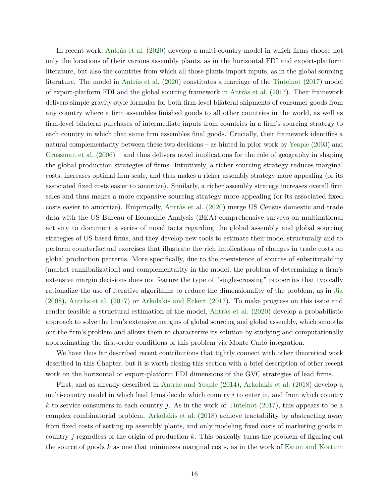In recent work, [Antràs et al.](#page-32-0) [\(2020\)](#page-32-0) develop a multi-country model in which firms choose not only the locations of their various assembly plants, as in the horizontal FDI and export-platform literature, but also the countries from which all those plants import inputs, as in the global sourcing literature. The model in [Antràs et al.](#page-32-0) [\(2020\)](#page-32-0) constitutes a marriage of the [Tintelnot](#page-37-0) [\(2017\)](#page-37-0) model of export-platform FDI and the global sourcing framework in [Antràs et al.](#page-32-0) [\(2017\)](#page-32-0). Their framework delivers simple gravity-style formulas for both firm-level bilateral shipments of consumer goods from any country where a firm assembles finished goods to all other countries in the world, as well as firm-level bilateral purchases of intermediate inputs from countries in a firm's sourcing strategy to each country in which that same firm assembles final goods. Crucially, their framework identifies a natural complementarity between these two decisions – as hinted in prior work by [Yeaple](#page-37-0) [\(2003\)](#page-37-0) and [Grossman et al.](#page-35-0) [\(2006\)](#page-35-0) – and thus delivers novel implications for the role of geography in shaping the global production strategies of firms. Intuitively, a richer sourcing strategy reduces marginal costs, increases optimal firm scale, and thus makes a richer assembly strategy more appealing (or its associated fixed costs easier to amortize). Similarly, a richer assembly strategy increases overall firm sales and thus makes a more expansive sourcing strategy more appealing (or its associated fixed costs easier to amortize). Empirically, [Antràs et al.](#page-32-0) [\(2020\)](#page-32-0) merge US Census domestic and trade data with the US Bureau of Economic Analysis (BEA) comprehensive surveys on multinational activity to document a series of novel facts regarding the global assembly and global sourcing strategies of US-based firms, and they develop new tools to estimate their model structurally and to perform counterfactual exercises that illustrate the rich implications of changes in trade costs on global production patterns. More specifically, due to the coexistence of sources of substitutability (market cannibalization) and complementarity in the model, the problem of determining a firm's extensive margin decisions does not feature the type of "single-crossing" properties that typically rationalize the use of iterative algorithms to reduce the dimensionality of the problem, as in [Jia](#page-36-0) [\(2008\)](#page-36-0), [Antràs et al.](#page-32-0) [\(2017\)](#page-32-0) or [Arkolakis and Eckert](#page-33-0) [\(2017\)](#page-33-0). To make progress on this issue and render feasible a structural estimation of the model, [Antràs et al.](#page-32-0) [\(2020\)](#page-32-0) develop a probabilistic approach to solve the firm's extensive margins of global sourcing and global assembly, which smooths out the firm's problem and allows them to characterize its solution by studying and computationally approximating the first-order conditions of this problem via Monte Carlo integration.

We have thus far described recent contributions that tightly connect with other theoretical work described in this Chapter, but it is worth closing this section with a brief description of other recent work on the horizontal or export-platform FDI dimensions of the GVC strategies of lead firms.

First, and as already described in [Antràs and Yeaple](#page-33-0) [\(2014\)](#page-33-0), [Arkolakis et al.](#page-33-0) [\(2018\)](#page-33-0) develop a multi-country model in which lead firms decide which country *i* to enter in, and from which country *k* to service consumers in each country *j*. As in the work of [Tintelnot](#page-37-0) [\(2017\)](#page-37-0), this appears to be a complex combinatorial problem. [Arkolakis et al.](#page-33-0) [\(2018\)](#page-33-0) achieve tractability by abstracting away from fixed costs of setting up assembly plants, and only modeling fixed costs of marketing goods in country *j* regardless of the origin of production *k*. This basically turns the problem of figuring out the source of goods *k* as one that minimizes marginal costs, as in the work of [Eaton and Kortum](#page-34-0)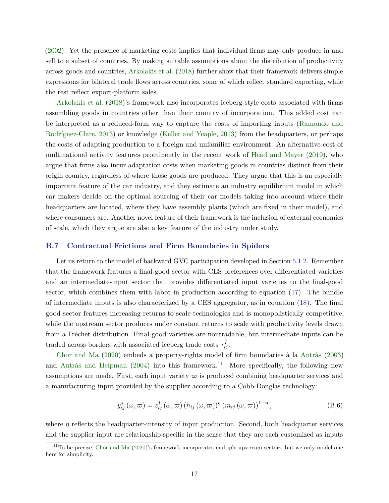<span id="page-16-0"></span>[\(2002\)](#page-34-0). Yet the presence of marketing costs implies that individual firms may only produce in and sell to a subset of countries. By making suitable assumptions about the distribution of productivity across goods and countries, [Arkolakis et al.](#page-33-0) [\(2018\)](#page-33-0) further show that their framework delivers simple expressions for bilateral trade flows across countries, some of which reflect standard exporting, while the rest reflect export-platform sales.

[Arkolakis et al.](#page-33-0) [\(2018\)](#page-33-0)'s framework also incorporates iceberg-style costs associated with firms assembling goods in countries other than their country of incorporation. This added cost can be interpreted as a reduced-form way to capture the costs of importing inputs [\(Ramondo and](#page-37-0) [Rodríguez-Clare,](#page-37-0) [2013\)](#page-37-0) or knowledge [\(Keller and Yeaple,](#page-36-0) [2013\)](#page-36-0) from the headquarters, or perhaps the costs of adapting production to a foreign and unfamiliar environment. An alternative cost of multinational activity features prominently in the recent work of [Head and Mayer](#page-35-0) [\(2019\)](#page-35-0), who argue that firms also incur adaptation costs when marketing goods in countries distinct from their origin country, regardless of where those goods are produced. They argue that this is an especially important feature of the car industry, and they estimate an industry equilibrium model in which car makers decide on the optimal sourcing of their car models taking into account where their headquarters are located, where they have assembly plants (which are fixed in their model), and where consumers are. Another novel feature of their framework is the inclusion of external economies of scale, which they argue are also a key feature of the industry under study.

# **B.7 Contractual Frictions and Firm Boundaries in Spiders**

Let us return to the model of backward GVC participation developed in Section [5.1.2.](#page-0-0) Remember that the framework features a final-good sector with CES preferences over differentiated varieties and an intermediate-input sector that provides differentiated input varieties to the final-good sector, which combines them with labor in production according to equation [\(17\)](#page-0-0). The bundle of intermediate inputs is also characterized by a CES aggregator, as in equation [\(18\)](#page-0-0). The final good-sector features increasing returns to scale technologies and is monopolistically competitive, while the upstream sector produces under constant returns to scale with productivity levels drawn from a Fréchet distribution. Final-good varieties are nontradable, but intermediate inputs can be traded across borders with associated iceberg trade costs  $\tau_{ij}^I$ .

[Chor and Ma](#page-34-0) [\(2020\)](#page-34-0) embeds a property-rights model of firm boundaries à la [Antràs](#page-32-0) [\(2003\)](#page-32-0) and [Antràs and Helpman](#page-32-0) [\(2004\)](#page-32-0) into this framework.<sup>11</sup> More specifically, the following new assumptions are made. First, each input variety  $\varpi$  is produced combining headquarter services and a manufacturing input provided by the supplier according to a Cobb-Douglas technology:

$$
y_{ij}^{s}(\omega,\varpi) = z_{ij}^{I}(\omega,\varpi) (h_{ij}(\omega,\varpi))^{n} (m_{ij}(\omega,\varpi))^{1-\eta},
$$
\n(B.6)

where *η* reflects the headquarter-intensity of input production. Second, both headquarter services and the supplier input are relationship-specific in the sense that they are each customized as inputs

 $11$ To be precise, [Chor and Ma](#page-34-0) [\(2020\)](#page-34-0)'s framework incorporates multiple upstream sectors, but we only model one here for simplicity.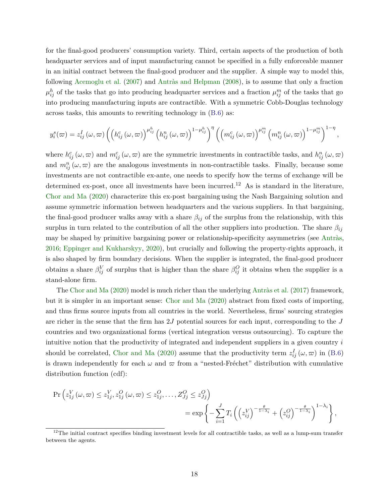for the final-good producers' consumption variety. Third, certain aspects of the production of both headquarter services and of input manufacturing cannot be specified in a fully enforceable manner in an initial contract between the final-good producer and the supplier. A simple way to model this, following [Acemoglu et al.](#page-32-0) [\(2007\)](#page-32-0) and [Antràs and Helpman](#page-32-0) [\(2008\)](#page-32-0), is to assume that only a fraction  $\mu_{ij}^h$  of the tasks that go into producing headquarter services and a fraction  $\mu_{ij}^m$  of the tasks that go into producing manufacturing inputs are contractible. With a symmetric Cobb-Douglas technology across tasks, this amounts to rewriting technology in [\(B.6\)](#page-16-0) as:

$$
y_i^s(\varpi) = z_{ij}^I(\omega,\varpi) \left( \left( h_{ij}^c(\omega,\varpi) \right)^{\mu_{ij}^h} \left( h_{ij}^n(\omega,\varpi) \right)^{1-\mu_{ij}^h} \right)^{\eta} \left( \left( m_{ij}^c(\omega,\varpi) \right)^{\mu_{ij}^m} \left( m_{ij}^n(\omega,\varpi) \right)^{1-\mu_{ij}^m} \right)^{1-\eta},
$$

where  $h_{ij}^c(\omega, \omega)$  and  $m_{ij}^c(\omega, \omega)$  are the symmetric investments in contractible tasks, and  $h_{ij}^n(\omega, \omega)$ and  $m_{ij}^n(\omega,\varpi)$  are the analogous investments in non-contractible tasks. Finally, because some investments are not contractible ex-ante, one needs to specify how the terms of exchange will be determined ex-post, once all investments have been incurred.<sup>12</sup> As is standard in the literature. [Chor and Ma](#page-34-0) [\(2020\)](#page-34-0) characterize this ex-post bargaining using the Nash Bargaining solution and assume symmetric information between headquarters and the various suppliers. In that bargaining, the final-good producer walks away with a share  $\beta_{ij}$  of the surplus from the relationship, with this surplus in turn related to the contribution of all the other suppliers into production. The share  $\beta_{ij}$ may be shaped by primitive bargaining power or relationship-specificity asymmetries (see [Antràs,](#page-32-0) [2016;](#page-32-0) [Eppinger and Kukharskyy,](#page-34-0) [2020\)](#page-34-0), but crucially and following the property-rights approach, it is also shaped by firm boundary decisions. When the supplier is integrated, the final-good producer obtains a share  $\beta_{ij}^V$  of surplus that is higher than the share  $\beta_{ij}^O$  it obtains when the supplier is a stand-alone firm.

The [Chor and Ma](#page-34-0) [\(2020\)](#page-34-0) model is much richer than the underlying [Antràs et al.](#page-32-0) [\(2017\)](#page-32-0) framework, but it is simpler in an important sense: [Chor and Ma](#page-34-0) [\(2020\)](#page-34-0) abstract from fixed costs of importing, and thus firms source inputs from all countries in the world. Nevertheless, firms' sourcing strategies are richer in the sense that the firm has 2*J* potential sources for each input, corresponding to the *J* countries and two organizational forms (vertical integration versus outsourcing). To capture the intuitive notion that the productivity of integrated and independent suppliers in a given country *i* should be correlated, [Chor and Ma](#page-34-0) [\(2020\)](#page-34-0) assume that the productivity term  $z_{ij}^I(\omega, \omega)$  in [\(B.6\)](#page-16-0) is drawn independently for each  $\omega$  and  $\varpi$  from a "nested-Fréchet" distribution with cumulative distribution function (cdf):

$$
\Pr\left(z_{1j}^V(\omega,\varpi)\leq z_{1j}^V, z_{1j}^O(\omega,\varpi)\leq z_{1j}^O,\ldots,Z_{Jj}^O\leq z_{Jj}^O\right) = \exp\left\{-\sum_{i=1}^J T_i\left(\left(z_{ij}^V\right)^{-\frac{\theta}{1-\lambda_i}}+\left(z_{ij}^O\right)^{-\frac{\theta}{1-\lambda_i}}\right)^{1-\lambda_i}\right\},\right\}
$$

 $12$ The initial contract specifies binding investment levels for all contractible tasks, as well as a lump-sum transfer between the agents.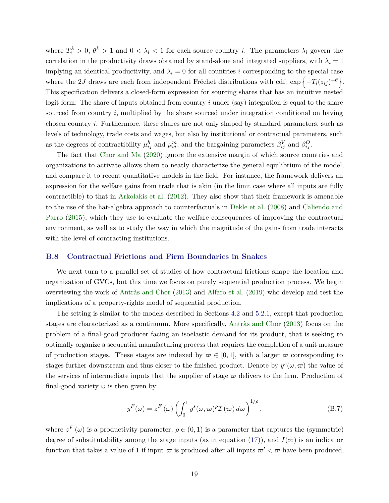where  $T_i^k > 0$ ,  $\theta^k > 1$  and  $0 < \lambda_i < 1$  for each source country *i*. The parameters  $\lambda_i$  govern the correlation in the productivity draws obtained by stand-alone and integrated suppliers, with  $\lambda_i = 1$ implying an identical productivity, and  $\lambda_i = 0$  for all countries *i* corresponding to the special case where the 2*J* draws are each from independent Fréchet distributions with cdf:  $\exp\{-T_i(z_{ij})^{-\theta}\}.$ This specification delivers a closed-form expression for sourcing shares that has an intuitive nested logit form: The share of inputs obtained from country *i* under (say) integration is equal to the share sourced from country *i*, multiplied by the share sourced under integration conditional on having chosen country *i*. Furthermore, these shares are not only shaped by standard parameters, such as levels of technology, trade costs and wages, but also by institutional or contractual parameters, such as the degrees of contractibility  $\mu_{ij}^h$  and  $\mu_{ij}^m$ , and the bargaining parameters  $\beta_{ij}^V$  and  $\beta_{ij}^O$ .

The fact that [Chor and Ma](#page-34-0) [\(2020\)](#page-34-0) ignore the extensive margin of which source countries and organizations to activate allows them to neatly characterize the general equilibrium of the model, and compare it to recent quantitative models in the field. For instance, the framework delivers an expression for the welfare gains from trade that is akin (in the limit case where all inputs are fully contractible) to that in [Arkolakis et al.](#page-33-0) [\(2012\)](#page-33-0). They also show that their framework is amenable to the use of the hat-algebra approach to counterfactuals in [Dekle et al.](#page-34-0) [\(2008\)](#page-34-0) and [Caliendo and](#page-33-0) [Parro](#page-33-0) [\(2015\)](#page-33-0), which they use to evaluate the welfare consequences of improving the contractual environment, as well as to study the way in which the magnitude of the gains from trade interacts with the level of contracting institutions.

# **B.8 Contractual Frictions and Firm Boundaries in Snakes**

We next turn to a parallel set of studies of how contractual frictions shape the location and organization of GVCs, but this time we focus on purely sequential production process. We begin overviewing the work of [Antràs and Chor](#page-32-0) [\(2013\)](#page-32-0) and [Alfaro et al.](#page-32-0) [\(2019\)](#page-32-0) who develop and test the implications of a property-rights model of sequential production.

The setting is similar to the models described in Sections [4.2](#page-0-0) and [5.2.1,](#page-0-0) except that production stages are characterized as a continuum. More specifically, [Antràs and Chor](#page-32-0) [\(2013\)](#page-32-0) focus on the problem of a final-good producer facing an isoelastic demand for its product, that is seeking to optimally organize a sequential manufacturing process that requires the completion of a unit measure of production stages. These stages are indexed by  $\varpi \in [0,1]$ , with a larger  $\varpi$  corresponding to stages further downstream and thus closer to the finished product. Denote by  $y^s(\omega, \overline{\omega})$  the value of the services of intermediate inputs that the supplier of stage  $\bar{\sigma}$  delivers to the firm. Production of final-good variety  $\omega$  is then given by:

$$
y^{F}(\omega) = z^{F}(\omega) \left( \int_{0}^{1} y^{s}(\omega, \omega)^{\rho} \mathcal{I}(\omega) d\omega \right)^{1/\rho}, \tag{B.7}
$$

where  $z^F(\omega)$  is a productivity parameter,  $\rho \in (0,1)$  is a parameter that captures the (symmetric) degree of substitutability among the stage inputs (as in equation [\(17\)](#page-0-0)), and  $I(\varpi)$  is an indicator function that takes a value of 1 if input  $\bar{\omega}$  is produced after all inputs  $\bar{\omega}' < \bar{\omega}$  have been produced,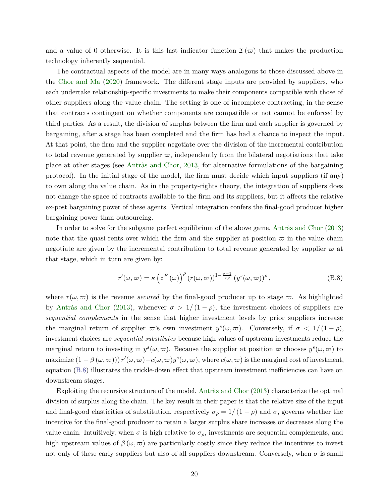and a value of 0 otherwise. It is this last indicator function  $\mathcal{I}(\varpi)$  that makes the production technology inherently sequential.

The contractual aspects of the model are in many ways analogous to those discussed above in the [Chor and Ma](#page-34-0) [\(2020\)](#page-34-0) framework. The different stage inputs are provided by suppliers, who each undertake relationship-specific investments to make their components compatible with those of other suppliers along the value chain. The setting is one of incomplete contracting, in the sense that contracts contingent on whether components are compatible or not cannot be enforced by third parties. As a result, the division of surplus between the firm and each supplier is governed by bargaining, after a stage has been completed and the firm has had a chance to inspect the input. At that point, the firm and the supplier negotiate over the division of the incremental contribution to total revenue generated by supplier  $\varpi$ , independently from the bilateral negotiations that take place at other stages (see [Antràs and Chor,](#page-32-0) [2013,](#page-32-0) for alternative formulations of the bargaining protocol). In the initial stage of the model, the firm must decide which input suppliers (if any) to own along the value chain. As in the property-rights theory, the integration of suppliers does not change the space of contracts available to the firm and its suppliers, but it affects the relative ex-post bargaining power of these agents. Vertical integration confers the final-good producer higher bargaining power than outsourcing.

In order to solve for the subgame perfect equilibrium of the above game, [Antràs and Chor](#page-32-0) [\(2013\)](#page-32-0) note that the quasi-rents over which the firm and the supplier at position  $\varpi$  in the value chain negotiate are given by the incremental contribution to total revenue generated by supplier  $\bar{\omega}$  at that stage, which in turn are given by:

$$
r'(\omega,\varpi) = \kappa \left( z^F(\omega) \right)^{\rho} \left( r(\omega,\varpi) \right)^{1-\frac{\sigma-1}{\sigma\rho}} \left( y^s(\omega,\varpi) \right)^{\rho}, \tag{B.8}
$$

where  $r(\omega, \varpi)$  is the revenue *secured* by the final-good producer up to stage  $\varpi$ . As highlighted by [Antràs and Chor](#page-32-0) [\(2013\)](#page-32-0), whenever  $\sigma > 1/(1 - \rho)$ , the investment choices of suppliers are *sequential complements* in the sense that higher investment levels by prior suppliers increase the marginal return of supplier  $\varpi$ 's own investment  $y^s(\omega, \varpi)$ . Conversely, if  $\sigma < 1/(1-\rho)$ , investment choices are *sequential substitutes* because high values of upstream investments reduce the marginal return to investing in  $y^s(\omega, \overline{\omega})$ . Because the supplier at position  $\overline{\omega}$  chooses  $y^s(\omega, \overline{\omega})$  to  $\text{maximize } (1 - \beta(\omega, \varpi)) \cdot r'(\omega, \varpi) - c(\omega, \varpi) y^s(\omega, \varpi), \text{ where } c(\omega, \varpi) \text{ is the marginal cost of investment,}$ equation (B.8) illustrates the trickle-down effect that upstream investment inefficiencies can have on downstream stages.

Exploiting the recursive structure of the model, [Antràs and Chor](#page-32-0) [\(2013\)](#page-32-0) characterize the optimal division of surplus along the chain. The key result in their paper is that the relative size of the input and final-good elasticities of substitution, respectively  $\sigma_{\rho} = 1/(1 - \rho)$  and  $\sigma$ , governs whether the incentive for the final-good producer to retain a larger surplus share increases or decreases along the value chain. Intuitively, when  $\sigma$  is high relative to  $\sigma_{\rho}$ , investments are sequential complements, and high upstream values of  $\beta(\omega, \varpi)$  are particularly costly since they reduce the incentives to invest not only of these early suppliers but also of all suppliers downstream. Conversely, when  $\sigma$  is small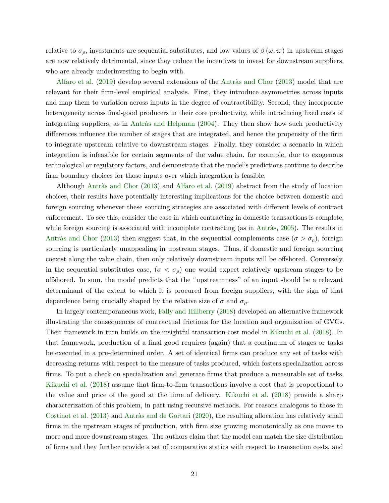relative to  $\sigma_{\rho}$ , investments are sequential substitutes, and low values of  $\beta(\omega,\varpi)$  in upstream stages are now relatively detrimental, since they reduce the incentives to invest for downstream suppliers, who are already underinvesting to begin with.

[Alfaro et al.](#page-32-0) [\(2019\)](#page-32-0) develop several extensions of the [Antràs and Chor](#page-32-0) [\(2013\)](#page-32-0) model that are relevant for their firm-level empirical analysis. First, they introduce asymmetries across inputs and map them to variation across inputs in the degree of contractibility. Second, they incorporate heterogeneity across final-good producers in their core productivity, while introducing fixed costs of integrating suppliers, as in [Antràs and Helpman](#page-32-0) [\(2004\)](#page-32-0). They then show how such productivity differences influence the number of stages that are integrated, and hence the propensity of the firm to integrate upstream relative to downstream stages. Finally, they consider a scenario in which integration is infeasible for certain segments of the value chain, for example, due to exogenous technological or regulatory factors, and demonstrate that the model's predictions continue to describe firm boundary choices for those inputs over which integration is feasible.

Although [Antràs and Chor](#page-32-0) [\(2013\)](#page-32-0) and [Alfaro et al.](#page-32-0) [\(2019\)](#page-32-0) abstract from the study of location choices, their results have potentially interesting implications for the choice between domestic and foreign sourcing whenever these sourcing strategies are associated with different levels of contract enforcement. To see this, consider the case in which contracting in domestic transactions is complete, while foreign sourcing is associated with incomplete contracting (as in [Antràs,](#page-32-0) [2005\)](#page-32-0). The results in [Antràs and Chor](#page-32-0) [\(2013\)](#page-32-0) then suggest that, in the sequential complements case ( $\sigma > \sigma_{\rho}$ ), foreign sourcing is particularly unappealing in upstream stages. Thus, if domestic and foreign sourcing coexist along the value chain, then only relatively downstream inputs will be offshored. Conversely, in the sequential substitutes case,  $(\sigma < \sigma_\rho)$  one would expect relatively upstream stages to be offshored. In sum, the model predicts that the "upstreamness" of an input should be a relevant determinant of the extent to which it is procured from foreign suppliers, with the sign of that dependence being crucially shaped by the relative size of  $\sigma$  and  $\sigma$ <sup>*ρ*</sup>.

In largely contemporaneous work, [Fally and Hillberry](#page-35-0) [\(2018\)](#page-35-0) developed an alternative framework illustrating the consequences of contractual frictions for the location and organization of GVCs. Their framework in turn builds on the insightful transaction-cost model in [Kikuchi et al.](#page-36-0) [\(2018\)](#page-36-0). In that framework, production of a final good requires (again) that a continuum of stages or tasks be executed in a pre-determined order. A set of identical firms can produce any set of tasks with decreasing returns with respect to the measure of tasks produced, which fosters specialization across firms. To put a check on specialization and generate firms that produce a measurable set of tasks, [Kikuchi et al.](#page-36-0) [\(2018\)](#page-36-0) assume that firm-to-firm transactions involve a cost that is proportional to the value and price of the good at the time of delivery. [Kikuchi et al.](#page-36-0) [\(2018\)](#page-36-0) provide a sharp characterization of this problem, in part using recursive methods. For reasons analogous to those in [Costinot et al.](#page-34-0) [\(2013\)](#page-34-0) and [Antràs and de Gortari](#page-32-0) [\(2020\)](#page-32-0), the resulting allocation has relatively small firms in the upstream stages of production, with firm size growing monotonically as one moves to more and more downstream stages. The authors claim that the model can match the size distribution of firms and they further provide a set of comparative statics with respect to transaction costs, and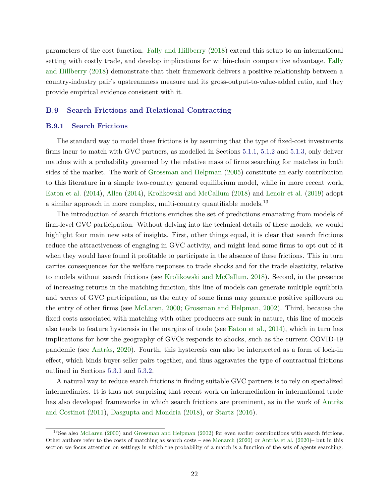parameters of the cost function. [Fally and Hillberry](#page-35-0) [\(2018\)](#page-35-0) extend this setup to an international setting with costly trade, and develop implications for within-chain comparative advantage. [Fally](#page-35-0) [and Hillberry](#page-35-0) [\(2018\)](#page-35-0) demonstrate that their framework delivers a positive relationship between a country-industry pair's upstreamness measure and its gross-output-to-value-added ratio, and they provide empirical evidence consistent with it.

# **B.9 Search Frictions and Relational Contracting**

# **B.9.1 Search Frictions**

The standard way to model these frictions is by assuming that the type of fixed-cost investments firms incur to match with GVC partners, as modelled in Sections [5.1.1,](#page-0-0) [5.1.2](#page-0-0) and [5.1.3,](#page-0-0) only deliver matches with a probability governed by the relative mass of firms searching for matches in both sides of the market. The work of [Grossman and Helpman](#page-35-0) [\(2005\)](#page-35-0) constitute an early contribution to this literature in a simple two-country general equilibrium model, while in more recent work, [Eaton et al.](#page-34-0) [\(2014\)](#page-34-0), [Allen](#page-32-0) [\(2014\)](#page-32-0), [Krolikowski and McCallum](#page-36-0) [\(2018\)](#page-36-0) and [Lenoir et al.](#page-36-0) [\(2019\)](#page-36-0) adopt a similar approach in more complex, multi-country quantifiable models.<sup>13</sup>

The introduction of search frictions enriches the set of predictions emanating from models of firm-level GVC participation. Without delving into the technical details of these models, we would highlight four main new sets of insights. First, other things equal, it is clear that search frictions reduce the attractiveness of engaging in GVC activity, and might lead some firms to opt out of it when they would have found it profitable to participate in the absence of these frictions. This in turn carries consequences for the welfare responses to trade shocks and for the trade elasticity, relative to models without search frictions (see [Krolikowski and McCallum,](#page-36-0) [2018\)](#page-36-0). Second, in the presence of increasing returns in the matching function, this line of models can generate multiple equilibria and *waves* of GVC participation, as the entry of some firms may generate positive spillovers on the entry of other firms (see [McLaren,](#page-36-0) [2000;](#page-36-0) [Grossman and Helpman,](#page-35-0) [2002\)](#page-35-0). Third, because the fixed costs associated with matching with other producers are sunk in nature, this line of models also tends to feature hysteresis in the margins of trade (see [Eaton et al.,](#page-34-0) [2014\)](#page-34-0), which in turn has implications for how the geography of GVCs responds to shocks, such as the current COVID-19 pandemic (see [Antràs,](#page-32-0) [2020\)](#page-32-0). Fourth, this hysteresis can also be interpreted as a form of lock-in effect, which binds buyer-seller pairs together, and thus aggravates the type of contractual frictions outlined in Sections [5.3.1](#page-0-0) and [5.3.2.](#page-0-0)

A natural way to reduce search frictions in finding suitable GVC partners is to rely on specialized intermediaries. It is thus not surprising that recent work on intermediation in international trade has also developed frameworks in which search frictions are prominent, as in the work of [Antràs](#page-32-0) [and Costinot](#page-32-0) [\(2011\)](#page-32-0), [Dasgupta and Mondria](#page-34-0) [\(2018\)](#page-34-0), or [Startz](#page-37-0) [\(2016\)](#page-37-0).

<sup>&</sup>lt;sup>13</sup>See also [McLaren](#page-36-0) [\(2000\)](#page-36-0) and [Grossman and Helpman](#page-35-0) [\(2002\)](#page-35-0) for even earlier contributions with search frictions. Other authors refer to the costs of matching as search costs – see [Monarch](#page-37-0) [\(2020\)](#page-32-0) or [Antràs et al.](#page-32-0) (2020)– but in this section we focus attention on settings in which the probability of a match is a function of the sets of agents searching.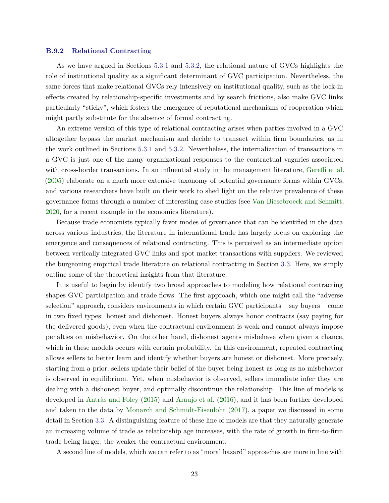#### **B.9.2 Relational Contracting**

As we have argued in Sections [5.3.1](#page-0-0) and [5.3.2,](#page-0-0) the relational nature of GVCs highlights the role of institutional quality as a significant determinant of GVC participation. Nevertheless, the same forces that make relational GVCs rely intensively on institutional quality, such as the lock-in effects created by relationship-specific investments and by search frictions, also make GVC links particularly "sticky", which fosters the emergence of reputational mechanisms of cooperation which might partly substitute for the absence of formal contracting.

An extreme version of this type of relational contracting arises when parties involved in a GVC altogether bypass the market mechanism and decide to transact within firm boundaries, as in the work outlined in Sections [5.3.1](#page-0-0) and [5.3.2.](#page-0-0) Nevertheless, the internalization of transactions in a GVC is just one of the many organizational responses to the contractual vagaries associated with cross-border transactions. In an influential study in the management literature, [Gereffi et al.](#page-35-0) [\(2005\)](#page-35-0) elaborate on a much more extensive taxonomy of potential governance forms within GVCs, and various researchers have built on their work to shed light on the relative prevalence of these governance forms through a number of interesting case studies (see [Van Biesebroeck and Schmitt,](#page-37-0) [2020,](#page-37-0) for a recent example in the economics literature).

Because trade economists typically favor modes of governance that can be identified in the data across various industries, the literature in international trade has largely focus on exploring the emergence and consequences of relational contracting. This is perceived as an intermediate option between vertically integrated GVC links and spot market transactions with suppliers. We reviewed the burgeoning empirical trade literature on relational contracting in Section [3.3.](#page-0-0) Here, we simply outline some of the theoretical insights from that literature.

It is useful to begin by identify two broad approaches to modeling how relational contracting shapes GVC participation and trade flows. The first approach, which one might call the "adverse selection" approach, considers environments in which certain GVC participants – say buyers – come in two fixed types: honest and dishonest. Honest buyers always honor contracts (say paying for the delivered goods), even when the contractual environment is weak and cannot always impose penalties on misbehavior. On the other hand, dishonest agents misbehave when given a chance, which in these models occurs with certain probability. In this environment, repeated contracting allows sellers to better learn and identify whether buyers are honest or dishonest. More precisely, starting from a prior, sellers update their belief of the buyer being honest as long as no misbehavior is observed in equilibrium. Yet, when misbehavior is observed, sellers immediate infer they are dealing with a dishonest buyer, and optimally discontinue the relationship. This line of models is developed in [Antràs and Foley](#page-32-0) [\(2015\)](#page-32-0) and [Araujo et al.](#page-33-0) [\(2016\)](#page-33-0), and it has been further developed and taken to the data by [Monarch and Schmidt-Eisenlohr](#page-37-0) [\(2017\)](#page-37-0), a paper we discussed in some detail in Section [3.3.](#page-0-0) A distinguishing feature of these line of models are that they naturally generate an increasing volume of trade as relationship age increases, with the rate of growth in firm-to-firm trade being larger, the weaker the contractual environment.

A second line of models, which we can refer to as "moral hazard" approaches are more in line with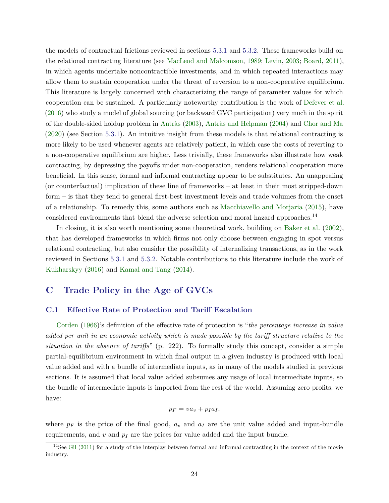the models of contractual frictions reviewed in sections [5.3.1](#page-0-0) and [5.3.2.](#page-0-0) These frameworks build on the relational contracting literature (see [MacLeod and Malcomson,](#page-36-0) [1989;](#page-36-0) [Levin,](#page-36-0) [2003;](#page-36-0) [Board,](#page-33-0) [2011\)](#page-33-0), in which agents undertake noncontractible investments, and in which repeated interactions may allow them to sustain cooperation under the threat of reversion to a non-cooperative equilibrium. This literature is largely concerned with characterizing the range of parameter values for which cooperation can be sustained. A particularly noteworthy contribution is the work of [Defever et al.](#page-34-0) [\(2016\)](#page-34-0) who study a model of global sourcing (or backward GVC participation) very much in the spirit of the double-sided holdup problem in [Antràs](#page-32-0) [\(2003\)](#page-32-0), [Antràs and Helpman](#page-32-0) [\(2004\)](#page-32-0) and [Chor and Ma](#page-34-0) [\(2020\)](#page-34-0) (see Section [5.3.1\)](#page-0-0). An intuitive insight from these models is that relational contracting is more likely to be used whenever agents are relatively patient, in which case the costs of reverting to a non-cooperative equilibrium are higher. Less trivially, these frameworks also illustrate how weak contracting, by depressing the payoffs under non-cooperation, renders relational cooperation more beneficial. In this sense, formal and informal contracting appear to be substitutes. An unappealing (or counterfactual) implication of these line of frameworks – at least in their most stripped-down form – is that they tend to general first-best investment levels and trade volumes from the onset of a relationship. To remedy this, some authors such as [Macchiavello and Morjaria](#page-36-0) [\(2015\)](#page-36-0), have considered environments that blend the adverse selection and moral hazard approaches.<sup>14</sup>

In closing, it is also worth mentioning some theoretical work, building on [Baker et al.](#page-33-0) [\(2002\)](#page-33-0), that has developed frameworks in which firms not only choose between engaging in spot versus relational contracting, but also consider the possibility of internalizing transactions, as in the work reviewed in Sections [5.3.1](#page-0-0) and [5.3.2.](#page-0-0) Notable contributions to this literature include the work of [Kukharskyy](#page-36-0) [\(2016\)](#page-36-0) and [Kamal and Tang](#page-36-0) [\(2014\)](#page-36-0).

# **C Trade Policy in the Age of GVCs**

#### **C.1 Effective Rate of Protection and Tariff Escalation**

[Corden](#page-34-0) [\(1966\)](#page-34-0)'s definition of the effective rate of protection is "*the percentage increase in value added per unit in an economic activity which is made possible by the tariff structure relative to the situation in the absence of tariffs*" (p. 222). To formally study this concept, consider a simple partial-equilibrium environment in which final output in a given industry is produced with local value added and with a bundle of intermediate inputs, as in many of the models studied in previous sections. It is assumed that local value added subsumes any usage of local intermediate inputs, so the bundle of intermediate inputs is imported from the rest of the world. Assuming zero profits, we have:

$$
p_F = v a_v + p_I a_I,
$$

where  $p_F$  is the price of the final good,  $a_v$  and  $a_I$  are the unit value added and input-bundle requirements, and  $v$  and  $p_I$  are the prices for value added and the input bundle.

 $14$ See [Gil](#page-35-0) [\(2011\)](#page-35-0) for a study of the interplay between formal and informal contracting in the context of the movie industry.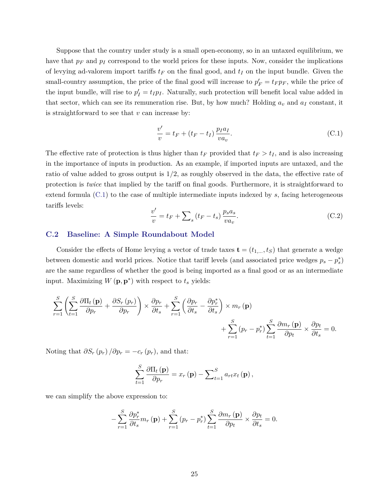Suppose that the country under study is a small open-economy, so in an untaxed equilibrium, we have that  $p_F$  and  $p_I$  correspond to the world prices for these inputs. Now, consider the implications of levying ad-valorem import tariffs  $t_F$  on the final good, and  $t_I$  on the input bundle. Given the small-country assumption, the price of the final good will increase to  $p'_F = t_F p_F$ , while the price of the input bundle, will rise to  $p'_I = t_I p_I$ . Naturally, such protection will benefit local value added in that sector, which can see its remuneration rise. But, by how much? Holding  $a_v$  and  $a_I$  constant, it is straightforward to see that *v* can increase by:

$$
\frac{v'}{v} = t_F + (t_F - t_I) \frac{p_I a_I}{v a_v}.
$$
\n(C.1)

The effective rate of protection is thus higher than  $t_F$  provided that  $t_F > t_I$ , and is also increasing in the importance of inputs in production. As an example, if imported inputs are untaxed, and the ratio of value added to gross output is 1*/*2, as roughly observed in the data, the effective rate of protection is *twice* that implied by the tariff on final goods. Furthermore, it is straightforward to extend formula (C.1) to the case of multiple intermediate inputs indexed by *s*, facing heterogeneous tariffs levels:

$$
\frac{v'}{v} = t_F + \sum_{s} \left( t_F - t_s \right) \frac{p_s a_s}{v a_v}.\tag{C.2}
$$

# **C.2 Baseline: A Simple Roundabout Model**

Consider the effects of Home levying a vector of trade taxes  $\mathbf{t} = (t_{1,...}, t_{S})$  that generate a wedge between domestic and world prices. Notice that tariff levels (and associated price wedges  $p_s - p_s^*$ ) are the same regardless of whether the good is being imported as a final good or as an intermediate input. Maximizing  $W(\mathbf{p}, \mathbf{p}^*)$  with respect to  $t_s$  yields:

$$
\sum_{r=1}^{S} \left( \sum_{t=1}^{S} \frac{\partial \Pi_t(\mathbf{p})}{\partial p_r} + \frac{\partial S_r(p_r)}{\partial p_r} \right) \times \frac{\partial p_r}{\partial t_s} + \sum_{r=1}^{S} \left( \frac{\partial p_r}{\partial t_s} - \frac{\partial p_r^*}{\partial t_s} \right) \times m_r(\mathbf{p}) + \sum_{r=1}^{S} (p_r - p_r^*) \sum_{t=1}^{S} \frac{\partial m_r(\mathbf{p})}{\partial p_t} \times \frac{\partial p_t}{\partial t_s} = 0.
$$

Noting that  $\partial S_r(p_r) / \partial p_r = -c_r(p_r)$ , and that:

$$
\sum_{t=1}^{S} \frac{\partial \Pi_t(\mathbf{p})}{\partial p_r} = x_r(\mathbf{p}) - \sum_{t=1}^{S} a_{rt} x_t(\mathbf{p}),
$$

we can simplify the above expression to:

$$
-\sum_{r=1}^{S} \frac{\partial p_r^*}{\partial t_s} m_r(\mathbf{p}) + \sum_{r=1}^{S} (p_r - p_r^*) \sum_{t=1}^{S} \frac{\partial m_r(\mathbf{p})}{\partial p_t} \times \frac{\partial p_t}{\partial t_s} = 0.
$$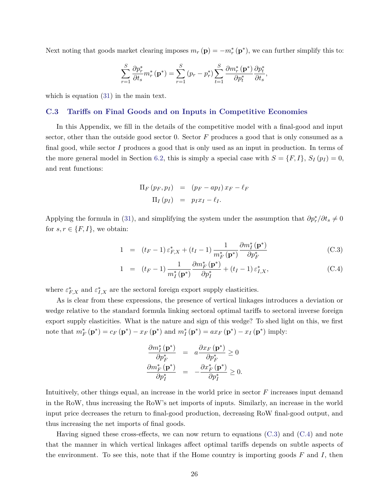<span id="page-25-0"></span>Next noting that goods market clearing imposes  $m_r(\mathbf{p}) = -m_r^*(\mathbf{p}^*)$ , we can further simplify this to:

$$
\sum_{r=1}^{S} \frac{\partial p_r^*}{\partial t_s} m_r^* (\mathbf{p}^*) = \sum_{r=1}^{S} (p_r - p_r^*) \sum_{t=1}^{S} \frac{\partial m_r^* (\mathbf{p}^*)}{\partial p_t^*} \frac{\partial p_t^*}{\partial t_s},
$$

which is equation [\(31\)](#page-0-0) in the main text.

# **C.3 Tariffs on Final Goods and on Inputs in Competitive Economies**

In this Appendix, we fill in the details of the competitive model with a final-good and input sector, other than the outside good sector 0. Sector *F* produces a good that is only consumed as a final good, while sector *I* produces a good that is only used as an input in production. In terms of the more general model in Section [6.2,](#page-0-0) this is simply a special case with  $S = \{F, I\}$ ,  $S_I(p_I) = 0$ , and rent functions:

$$
\Pi_F (p_F, p_I) = (p_F - ap_I) x_F - \ell_F \n\Pi_I (p_I) = p_I x_I - \ell_I.
$$

Applying the formula in [\(31\)](#page-0-0), and simplifying the system under the assumption that  $\partial p_r^* / \partial t_s \neq 0$ for  $s, r \in \{F, I\}$ , we obtain:

$$
1 = (t_F - 1) \varepsilon_{F,X}^* + (t_I - 1) \frac{1}{m_F^* (\mathbf{p}^*)} \frac{\partial m_I^* (\mathbf{p}^*)}{\partial p_F^*}
$$
(C.3)

$$
1 = (t_F - 1) \frac{1}{m_I^* (\mathbf{p}^*)} \frac{\partial m_F^* (\mathbf{p}^*)}{\partial p_I^*} + (t_I - 1) \varepsilon_{I,X}^*,
$$
 (C.4)

where  $\varepsilon_{F,X}^*$  and  $\varepsilon_{I,X}^*$  are the sectoral foreign export supply elasticities.

As is clear from these expressions, the presence of vertical linkages introduces a deviation or wedge relative to the standard formula linking sectoral optimal tariffs to sectoral inverse foreign export supply elasticities. What is the nature and sign of this wedge? To shed light on this, we first note that  $m_F^* (\mathbf{p}^*) = c_F (\mathbf{p}^*) - x_F (\mathbf{p}^*)$  and  $m_I^* (\mathbf{p}^*) = ax_F (\mathbf{p}^*) - x_I (\mathbf{p}^*)$  imply:

$$
\begin{array}{rcl}\n\frac{\partial m_{I}^{*}\left(\mathbf{p}^{*}\right)}{\partial p_{F}^{*}} & = & a \frac{\partial x_{F}\left(\mathbf{p}^{*}\right)}{\partial p_{F}^{*}} \geq 0\\ \n\frac{\partial m_{F}^{*}\left(\mathbf{p}^{*}\right)}{\partial p_{I}^{*}} & = & -\frac{\partial x_{F}^{*}\left(\mathbf{p}^{*}\right)}{\partial p_{I}^{*}} \geq 0.\n\end{array}
$$

Intuitively, other things equal, an increase in the world price in sector *F* increases input demand in the RoW, thus increasing the RoW's net imports of inputs. Similarly, an increase in the world input price decreases the return to final-good production, decreasing RoW final-good output, and thus increasing the net imports of final goods.

Having signed these cross-effects, we can now return to equations  $(C.3)$  and  $(C.4)$  and note that the manner in which vertical linkages affect optimal tariffs depends on subtle aspects of the environment. To see this, note that if the Home country is importing goods *F* and *I*, then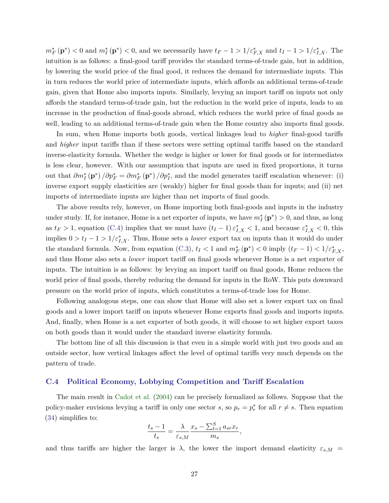$m_F^* (\mathbf{p}^*)$  < 0 and  $m_I^* (\mathbf{p}^*)$  < 0, and we necessarily have  $t_F - 1 > 1/\varepsilon_{F,X}^*$  and  $t_I - 1 > 1/\varepsilon_{I,X}^*$ . The intuition is as follows: a final-good tariff provides the standard terms-of-trade gain, but in addition, by lowering the world price of the final good, it reduces the demand for intermediate inputs. This in turn reduces the world price of intermediate inputs, which affords an additional terms-of-trade gain, given that Home also imports inputs. Similarly, levying an import tariff on inputs not only affords the standard terms-of-trade gain, but the reduction in the world price of inputs, leads to an increase in the production of final-goods abroad, which reduces the world price of final goods as well, leading to an additional terms-of-trade gain when the Home country also imports final goods.

In sum, when Home imports both goods, vertical linkages lead to *higher* final-good tariffs and *higher* input tariffs than if these sectors were setting optimal tariffs based on the standard inverse-elasticity formula. Whether the wedge is higher or lower for final goods or for intermediates is less clear, however. With our assumption that inputs are used in fixed proportions, it turns out that  $\partial m_I^* (\mathbf{p}^*) / \partial p_F^* = \partial m_F^* (\mathbf{p}^*) / \partial p_I^*$ , and the model generates tariff escalation whenever: (i) inverse export supply elasticities are (weakly) higher for final goods than for inputs; and (ii) net imports of intermediate inputs are higher than net imports of final goods.

The above results rely, however, on Home importing both final-goods and inputs in the industry under study. If, for instance, Home is a net exporter of inputs, we have  $m_I^* (\mathbf{p}^*) > 0$ , and thus, as long as  $t_F > 1$ , equation [\(C.4\)](#page-25-0) implies that we must have  $(t_I - 1) \varepsilon_{I,X}^* < 1$ , and because  $\varepsilon_{I,X}^* < 0$ , this implies  $0 > t_I - 1 > 1/\varepsilon_{I,X}^*$ . Thus, Home sets a *lower* export tax on inputs than it would do under the standard formula. Now, from equation [\(C.3\)](#page-25-0),  $t_I < 1$  and  $m_F^* (\mathbf{p}^*) < 0$  imply  $(t_F - 1) < 1/\varepsilon_{F,X}^*$ , and thus Home also sets a *lower* import tariff on final goods whenever Home is a net exporter of inputs. The intuition is as follows: by levying an import tariff on final goods, Home reduces the world price of final goods, thereby reducing the demand for inputs in the RoW. This puts downward pressure on the world price of inputs, which constitutes a terms-of-trade loss for Home.

Following analogous steps, one can show that Home will also set a lower export tax on final goods and a lower import tariff on inputs whenever Home exports final goods and imports inputs. And, finally, when Home is a net exporter of both goods, it will choose to set higher export taxes on both goods than it would under the standard inverse elasticity formula.

The bottom line of all this discussion is that even in a simple world with just two goods and an outside sector, how vertical linkages affect the level of optimal tariffs very much depends on the pattern of trade.

#### **C.4 Political Economy, Lobbying Competition and Tariff Escalation**

The main result in [Cadot et al.](#page-33-0) [\(2004\)](#page-33-0) can be precisely formalized as follows. Suppose that the policy-maker envisions levying a tariff in only one sector *s*, so  $p_r = p_r^*$  for all  $r \neq s$ . Then equation [\(34\)](#page-0-0) simplifies to:

$$
\frac{t_s - 1}{t_s} = \frac{\lambda}{\varepsilon_{s,M}} \frac{x_s - \sum_{t=1}^S a_{sr} x_r}{m_s},
$$

and thus tariffs are higher the larger is  $\lambda$ , the lower the import demand elasticity  $\varepsilon_{s,M}$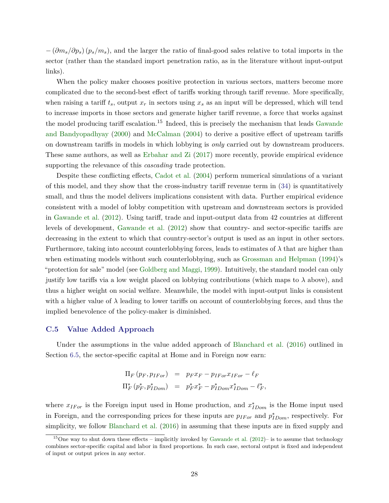− (*∂ms/∂ps*) (*ps/ms*), and the larger the ratio of final-good sales relative to total imports in the sector (rather than the standard import penetration ratio, as in the literature without input-output links).

When the policy maker chooses positive protection in various sectors, matters become more complicated due to the second-best effect of tariffs working through tariff revenue. More specifically, when raising a tariff  $t_s$ , output  $x_r$  in sectors using  $x_s$  as an input will be depressed, which will tend to increase imports in those sectors and generate higher tariff revenue, a force that works against the model producing tariff escalation.<sup>15</sup> Indeed, this is precisely the mechanism that leads [Gawande](#page-35-0) [and Bandyopadhyay](#page-35-0) [\(2000\)](#page-35-0) and [McCalman](#page-36-0) [\(2004\)](#page-36-0) to derive a positive effect of upstream tariffs on downstream tariffs in models in which lobbying is *only* carried out by downstream producers. These same authors, as well as [Erbahar and Zi](#page-35-0) [\(2017\)](#page-35-0) more recently, provide empirical evidence supporting the relevance of this *cascading* trade protection.

Despite these conflicting effects, [Cadot et al.](#page-33-0) [\(2004\)](#page-33-0) perform numerical simulations of a variant of this model, and they show that the cross-industry tariff revenue term in [\(34\)](#page-0-0) is quantitatively small, and thus the model delivers implications consistent with data. Further empirical evidence consistent with a model of lobby competition with upstream and downstream sectors is provided in [Gawande et al.](#page-35-0) [\(2012\)](#page-35-0). Using tariff, trade and input-output data from 42 countries at different levels of development, [Gawande et al.](#page-35-0) [\(2012\)](#page-35-0) show that country- and sector-specific tariffs are decreasing in the extent to which that country-sector's output is used as an input in other sectors. Furthermore, taking into account counterlobbying forces, leads to estimates of  $\lambda$  that are higher than when estimating models without such counterlobbying, such as [Grossman and Helpman](#page-35-0) [\(1994\)](#page-35-0)'s "protection for sale" model (see [Goldberg and Maggi,](#page-35-0) [1999\)](#page-35-0). Intuitively, the standard model can only justify low tariffs via a low weight placed on lobbying contributions (which maps to  $\lambda$  above), and thus a higher weight on social welfare. Meanwhile, the model with input-output links is consistent with a higher value of  $\lambda$  leading to lower tariffs on account of counterlobbying forces, and thus the implied benevolence of the policy-maker is diminished.

# **C.5 Value Added Approach**

Under the assumptions in the value added approach of [Blanchard et al.](#page-33-0) [\(2016\)](#page-33-0) outlined in Section [6.5,](#page-0-0) the sector-specific capital at Home and in Foreign now earn:

$$
\Pi_F (p_F, p_{IFor}) = p_F x_F - p_{IFor} x_{IFor} - \ell_F
$$
  

$$
\Pi_F^* (p_F^*, p_{IDom}^*) = p_F^* x_F^* - p_{IDom}^* x_{IDom}^* - \ell_F^*,
$$

where  $x_{IFor}$  is the Foreign input used in Home production, and  $x_{IDom}^*$  is the Home input used in Foreign, and the corresponding prices for these inputs are  $p_{IFor}$  and  $p_{IDom}^*$ , respectively. For simplicity, we follow [Blanchard et al.](#page-33-0) [\(2016\)](#page-33-0) in assuming that these inputs are in fixed supply and

<sup>&</sup>lt;sup>15</sup>One way to shut down these effects – implicitly invoked by [Gawande et al.](#page-35-0) [\(2012\)](#page-35-0)– is to assume that technology combines sector-specific capital and labor in fixed proportions. In such case, sectoral output is fixed and independent of input or output prices in any sector.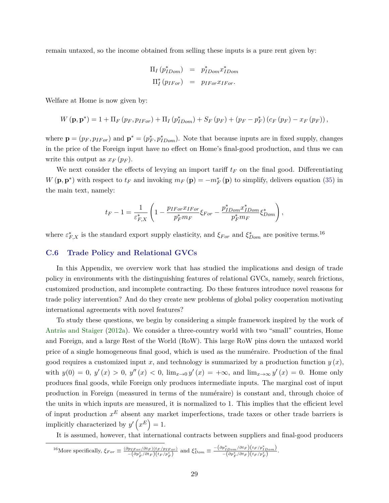remain untaxed, so the income obtained from selling these inputs is a pure rent given by:

$$
\Pi_I (p_{IDom}^*) = p_{IDom}^* x_{IDom}^*
$$
  

$$
\Pi_I^* (p_{IFor}) = p_{IFor} x_{IFor}.
$$

Welfare at Home is now given by:

$$
W\left(\mathbf{p},\mathbf{p}^{*}\right)=1+\Pi_{F}\left(p_{F},p_{IFor}\right)+\Pi_{I}\left(p_{IDom}^{*}\right)+S_{F}\left(p_{F}\right)+\left(p_{F}-p_{F}^{*}\right)\left(c_{F}\left(p_{F}\right)-x_{F}\left(p_{F}\right)\right),
$$

where  $\mathbf{p} = (p_F, p_{IFor})$  and  $\mathbf{p}^* = (p_F^*, p_{IDom}^*)$ . Note that because inputs are in fixed supply, changes in the price of the Foreign input have no effect on Home's final-good production, and thus we can write this output as  $x_F(p_F)$ .

We next consider the effects of levying an import tariff  $t_F$  on the final good. Differentiating *W* ( $\mathbf{p}, \mathbf{p}^*$ ) with respect to  $t_F$  and invoking  $m_F(\mathbf{p}) = -m_F^* (\mathbf{p})$  to simplify, delivers equation [\(35\)](#page-0-0) in the main text, namely:

$$
t_F - 1 = \frac{1}{\varepsilon_{F,X}^*} \left( 1 - \frac{p_{IFor} x_{IFor}}{p_F^* m_F} \xi_{For} - \frac{p_{IDom}^* x_{IDom}^*}{p_F^* m_F} \xi_{Dom}^* \right),
$$

where  $\varepsilon_{F,X}^*$  is the standard export supply elasticity, and  $\xi_{For}$  and  $\xi_{Dom}^*$  are positive terms.<sup>16</sup>

#### **C.6 Trade Policy and Relational GVCs**

In this Appendix, we overview work that has studied the implications and design of trade policy in environments with the distinguishing features of relational GVCs, namely, search frictions, customized production, and incomplete contracting. Do these features introduce novel reasons for trade policy intervention? And do they create new problems of global policy cooperation motivating international agreements with novel features?

To study these questions, we begin by considering a simple framework inspired by the work of [Antràs and Staiger](#page-33-0) [\(2012a\)](#page-33-0). We consider a three-country world with two "small" countries, Home and Foreign, and a large Rest of the World (RoW). This large RoW pins down the untaxed world price of a single homogeneous final good, which is used as the numéraire. Production of the final good requires a customized input *x*, and technology is summarized by a production function *y* (*x*), with  $y(0) = 0$ ,  $y'(x) > 0$ ,  $y''(x) < 0$ ,  $\lim_{x\to 0} y'(x) = +\infty$ , and  $\lim_{x\to \infty} y'(x) = 0$ . Home only produces final goods, while Foreign only produces intermediate inputs. The marginal cost of input production in Foreign (measured in terms of the numéraire) is constant and, through choice of the units in which inputs are measured, it is normalized to 1. This implies that the efficient level of input production *x <sup>E</sup>* absent any market imperfections, trade taxes or other trade barriers is implicitly characterized by  $y'(x^E) = 1$ .

It is assumed, however, that international contracts between suppliers and final-good producers

$$
^{16}\text{More specifically, }\xi_{For}\equiv\frac{(\partial p_{IFor}/\partial t_F)(t_F/p_{IFor})}{-(\partial p_F^*/\partial t_F)(t_F/p_F^*)}\text{ and }\xi_{Dom}^* \equiv\frac{-(\partial p_{IDom}^*/\partial t_F)(t_F/p_{IDom}^*)}{-(\partial p_F^*/\partial t_F)(t_F/p_F^*)}.
$$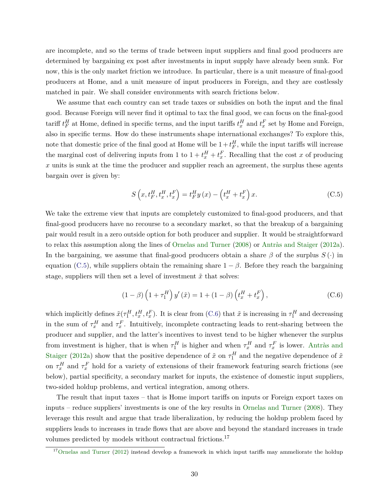<span id="page-29-0"></span>are incomplete, and so the terms of trade between input suppliers and final good producers are determined by bargaining ex post after investments in input supply have already been sunk. For now, this is the only market friction we introduce. In particular, there is a unit measure of final-good producers at Home, and a unit measure of input producers in Foreign, and they are costlessly matched in pair. We shall consider environments with search frictions below.

We assume that each country can set trade taxes or subsidies on both the input and the final good. Because Foreign will never find it optimal to tax the final good, we can focus on the final-good tariff  $t_F^H$  at Home, defined in specific terms, and the input tariffs  $t_x^H$  and  $t_x^F$  set by Home and Foreign, also in specific terms. How do these instruments shape international exchanges? To explore this, note that domestic price of the final good at Home will be  $1 + t_F^H$ , while the input tariffs will increase the marginal cost of delivering inputs from 1 to  $1 + t_x^H + t_x^F$ . Recalling that the cost *x* of producing *x* units is sunk at the time the producer and supplier reach an agreement, the surplus these agents bargain over is given by:

$$
S\left(x, t_F^H, t_x^H, t_x^F\right) = t_F^H y\left(x\right) - \left(t_x^H + t_x^F\right)x.
$$
 (C.5)

We take the extreme view that inputs are completely customized to final-good producers, and that final-good producers have no recourse to a secondary market, so that the breakup of a bargaining pair would result in a zero outside option for both producer and supplier. It would be straightforward to relax this assumption along the lines of [Ornelas and Turner](#page-37-0) [\(2008\)](#page-37-0) or [Antràs and Staiger](#page-33-0) [\(2012a\)](#page-33-0). In the bargaining, we assume that final-good producers obtain a share  $\beta$  of the surplus  $S(\cdot)$  in equation (C.5), while suppliers obtain the remaining share  $1 - \beta$ . Before they reach the bargaining stage, suppliers will then set a level of investment  $\tilde{x}$  that solves:

$$
(1 - \beta) \left( 1 + \tau_1^H \right) y'(\tilde{x}) = 1 + (1 - \beta) \left( t_x^H + t_x^F \right), \tag{C.6}
$$

which implicitly defines  $\tilde{x}(\tau_1^H, t_x^H, t_x^F)$ . It is clear from (C.6) that  $\tilde{x}$  is increasing in  $\tau_1^H$  and decreasing in the sum of  $\tau_x^H$  and  $\tau_x^F$ . Intuitively, incomplete contracting leads to rent-sharing between the producer and supplier, and the latter's incentives to invest tend to be higher whenever the surplus from investment is higher, that is when  $\tau_1^H$  is higher and when  $\tau_x^H$  and  $\tau_x^F$  is lower. [Antràs and](#page-33-0) [Staiger](#page-33-0) [\(2012a\)](#page-33-0) show that the positive dependence of  $\tilde{x}$  on  $\tau_1^H$  and the negative dependence of  $\tilde{x}$ on  $\tau_x^H$  and  $\tau_x^F$  hold for a variety of extensions of their framework featuring search frictions (see below), partial specificity, a secondary market for inputs, the existence of domestic input suppliers, two-sided holdup problems, and vertical integration, among others.

The result that input taxes – that is Home import tariffs on inputs or Foreign export taxes on inputs – reduce suppliers' investments is one of the key results in [Ornelas and Turner](#page-37-0) [\(2008\)](#page-37-0). They leverage this result and argue that trade liberalization, by reducing the holdup problem faced by suppliers leads to increases in trade flows that are above and beyond the standard increases in trade volumes predicted by models without contractual frictions.<sup>17</sup>

<sup>&</sup>lt;sup>17</sup>[Ornelas and Turner](#page-37-0) [\(2012\)](#page-37-0) instead develop a framework in which input tariffs may ammeliorate the holdup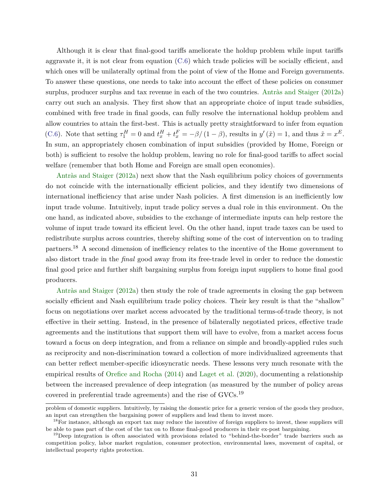Although it is clear that final-good tariffs ameliorate the holdup problem while input tariffs aggravate it, it is not clear from equation [\(C.6\)](#page-29-0) which trade policies will be socially efficient, and which ones will be unilaterally optimal from the point of view of the Home and Foreign governments. To answer these questions, one needs to take into account the effect of these policies on consumer surplus, producer surplus and tax revenue in each of the two countries. [Antràs and Staiger](#page-33-0) [\(2012a\)](#page-33-0) carry out such an analysis. They first show that an appropriate choice of input trade subsidies, combined with free trade in final goods, can fully resolve the international holdup problem and allow countries to attain the first-best. This is actually pretty straightforward to infer from equation [\(C.6\)](#page-29-0). Note that setting  $\tau_1^H = 0$  and  $t_x^H + t_x^F = -\beta/(1-\beta)$ , results in  $y'(\tilde{x}) = 1$ , and thus  $\tilde{x} = x^E$ . In sum, an appropriately chosen combination of input subsidies (provided by Home, Foreign or both) is sufficient to resolve the holdup problem, leaving no role for final-good tariffs to affect social welfare (remember that both Home and Foreign are small open economies).

[Antràs and Staiger](#page-33-0) [\(2012a\)](#page-33-0) next show that the Nash equilibrium policy choices of governments do not coincide with the internationally efficient policies, and they identify two dimensions of international inefficiency that arise under Nash policies. A first dimension is an inefficiently low input trade volume. Intuitively, input trade policy serves a dual role in this environment. On the one hand, as indicated above, subsidies to the exchange of intermediate inputs can help restore the volume of input trade toward its efficient level. On the other hand, input trade taxes can be used to redistribute surplus across countries, thereby shifting some of the cost of intervention on to trading partners.<sup>18</sup> A second dimension of inefficiency relates to the incentive of the Home government to also distort trade in the *final* good away from its free-trade level in order to reduce the domestic final good price and further shift bargaining surplus from foreign input suppliers to home final good producers.

[Antràs and Staiger](#page-33-0) [\(2012a\)](#page-33-0) then study the role of trade agreements in closing the gap between socially efficient and Nash equilibrium trade policy choices. Their key result is that the "shallow" focus on negotiations over market access advocated by the traditional terms-of-trade theory, is not effective in their setting. Instead, in the presence of bilaterally negotiated prices, effective trade agreements and the institutions that support them will have to evolve, from a market access focus toward a focus on deep integration, and from a reliance on simple and broadly-applied rules such as reciprocity and non-discrimination toward a collection of more individualized agreements that can better reflect member-specific idiosyncratic needs. These lessons very much resonate with the empirical results of [Orefice and Rocha](#page-37-0) [\(2014\)](#page-37-0) and [Laget et al.](#page-36-0) [\(2020\)](#page-36-0), documenting a relationship between the increased prevalence of deep integration (as measured by the number of policy areas covered in preferential trade agreements) and the rise of GVCs.<sup>19</sup>

problem of domestic suppliers. Intuitively, by raising the domestic price for a generic version of the goods they produce, an input can strengthen the bargaining power of suppliers and lead them to invest more.

<sup>&</sup>lt;sup>18</sup>For instance, although an export tax may reduce the incentive of foreign suppliers to invest, these suppliers will be able to pass part of the cost of the tax on to Home final-good producers in their ex-post bargaining.

<sup>&</sup>lt;sup>19</sup>Deep integration is often associated with provisions related to "behind-the-border" trade barriers such as competition policy, labor market regulation, consumer protection, environmental laws, movement of capital, or intellectual property rights protection.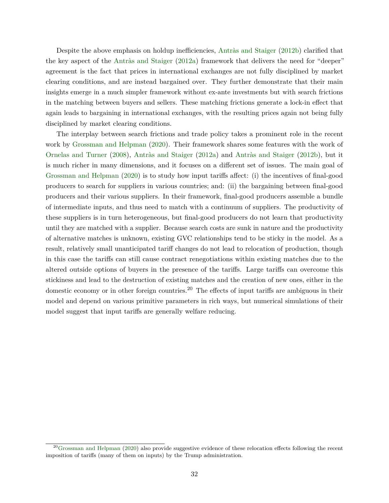Despite the above emphasis on holdup inefficiencies, [Antràs and Staiger](#page-33-0) [\(2012b\)](#page-33-0) clarified that the key aspect of the [Antràs and Staiger](#page-33-0) [\(2012a\)](#page-33-0) framework that delivers the need for "deeper" agreement is the fact that prices in international exchanges are not fully disciplined by market clearing conditions, and are instead bargained over. They further demonstrate that their main insights emerge in a much simpler framework without ex-ante investments but with search frictions in the matching between buyers and sellers. These matching frictions generate a lock-in effect that again leads to bargaining in international exchanges, with the resulting prices again not being fully disciplined by market clearing conditions.

The interplay between search frictions and trade policy takes a prominent role in the recent work by [Grossman and Helpman](#page-35-0) [\(2020\)](#page-35-0). Their framework shares some features with the work of [Ornelas and Turner](#page-37-0) [\(2008\)](#page-37-0), [Antràs and Staiger](#page-33-0) [\(2012a\)](#page-33-0) and [Antràs and Staiger](#page-33-0) [\(2012b\)](#page-33-0), but it is much richer in many dimensions, and it focuses on a different set of issues. The main goal of [Grossman and Helpman](#page-35-0) [\(2020\)](#page-35-0) is to study how input tariffs affect: (i) the incentives of final-good producers to search for suppliers in various countries; and: (ii) the bargaining between final-good producers and their various suppliers. In their framework, final-good producers assemble a bundle of intermediate inputs, and thus need to match with a continuum of suppliers. The productivity of these suppliers is in turn heterogeneous, but final-good producers do not learn that productivity until they are matched with a supplier. Because search costs are sunk in nature and the productivity of alternative matches is unknown, existing GVC relationships tend to be sticky in the model. As a result, relatively small unanticipated tariff changes do not lead to relocation of production, though in this case the tariffs can still cause contract renegotiations within existing matches due to the altered outside options of buyers in the presence of the tariffs. Large tariffs can overcome this stickiness and lead to the destruction of existing matches and the creation of new ones, either in the domestic economy or in other foreign countries.<sup>20</sup> The effects of input tariffs are ambiguous in their model and depend on various primitive parameters in rich ways, but numerical simulations of their model suggest that input tariffs are generally welfare reducing.

 $^{20}$ [Grossman and Helpman](#page-35-0) [\(2020\)](#page-35-0) also provide suggestive evidence of these relocation effects following the recent imposition of tariffs (many of them on inputs) by the Trump administration.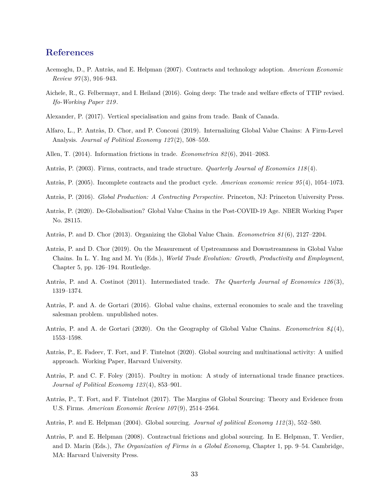# <span id="page-32-0"></span>**References**

- Acemoglu, D., P. Antràs, and E. Helpman (2007). Contracts and technology adoption. *American Economic Review 97* (3), 916–943.
- Aichele, R., G. Felbermayr, and I. Heiland (2016). Going deep: The trade and welfare effects of TTIP revised. *Ifo-Working Paper 219* .
- Alexander, P. (2017). Vertical specialisation and gains from trade. Bank of Canada.
- Alfaro, L., P. Antràs, D. Chor, and P. Conconi (2019). Internalizing Global Value Chains: A Firm-Level Analysis. *Journal of Political Economy 127* (2), 508–559.
- Allen, T. (2014). Information frictions in trade. *Econometrica 82* (6), 2041–2083.
- Antràs, P. (2003). Firms, contracts, and trade structure. *Quarterly Journal of Economics 118* (4).
- Antràs, P. (2005). Incomplete contracts and the product cycle. *American economic review 95* (4), 1054–1073.
- Antràs, P. (2016). *Global Production: A Contracting Perspective*. Princeton, NJ: Princeton University Press.
- Antràs, P. (2020). De-Globalisation? Global Value Chains in the Post-COVID-19 Age. NBER Working Paper No. 28115.
- Antràs, P. and D. Chor (2013). Organizing the Global Value Chain. *Econometrica 81* (6), 2127–2204.
- Antràs, P. and D. Chor (2019). On the Measurement of Upstreamness and Downstreamness in Global Value Chains. In L. Y. Ing and M. Yu (Eds.), *World Trade Evolution: Growth, Productivity and Employment*, Chapter 5, pp. 126–194. Routledge.
- Antràs, P. and A. Costinot (2011). Intermediated trade. *The Quarterly Journal of Economics 126* (3), 1319–1374.
- Antràs, P. and A. de Gortari (2016). Global value chains, external economies to scale and the traveling salesman problem. unpublished notes.
- Antràs, P. and A. de Gortari (2020). On the Geography of Global Value Chains. *Econometrica 84* (4), 1553–1598.
- Antràs, P., E. Fadeev, T. Fort, and F. Tintelnot (2020). Global sourcing and multinational activity: A unified approach. Working Paper, Harvard University.
- Antràs, P. and C. F. Foley (2015). Poultry in motion: A study of international trade finance practices. *Journal of Political Economy 123* (4), 853–901.
- Antràs, P., T. Fort, and F. Tintelnot (2017). The Margins of Global Sourcing: Theory and Evidence from U.S. Firms. *American Economic Review 107* (9), 2514–2564.
- Antràs, P. and E. Helpman (2004). Global sourcing. *Journal of political Economy 112* (3), 552–580.
- Antràs, P. and E. Helpman (2008). Contractual frictions and global sourcing. In E. Helpman, T. Verdier, and D. Marin (Eds.), *The Organization of Firms in a Global Economy*, Chapter 1, pp. 9–54. Cambridge, MA: Harvard University Press.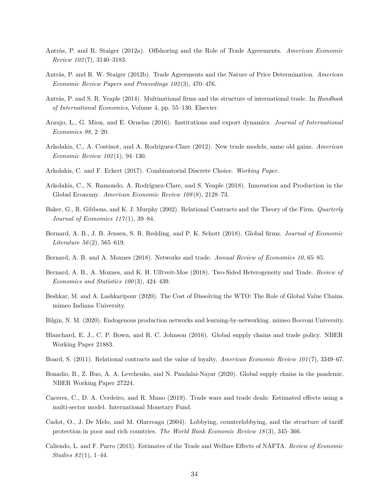- <span id="page-33-0"></span>Antràs, P. and R. Staiger (2012a). Offshoring and the Role of Trade Agreements. *American Economic Review 102* (7), 3140–3183.
- Antràs, P. and R. W. Staiger (2012b). Trade Agreements and the Nature of Price Determination. *American Economic Review Papers and Proceedings 102* (3), 470–476.
- Antràs, P. and S. R. Yeaple (2014). Multinational firms and the structure of international trade. In *Handbook of International Economics*, Volume 4, pp. 55–130. Elsevier.
- Araujo, L., G. Mion, and E. Ornelas (2016). Institutions and export dynamics. *Journal of International Economics 98*, 2–20.
- Arkolakis, C., A. Costinot, and A. Rodriguez-Clare (2012). New trade models, same old gains. *American Economic Review 102* (1), 94–130.
- Arkolakis, C. and F. Eckert (2017). Combinatorial Discrete Choice. *Working Paper*.
- Arkolakis, C., N. Ramondo, A. Rodríguez-Clare, and S. Yeaple (2018). Innovation and Production in the Global Economy. *American Economic Review 108* (8), 2128–73.
- Baker, G., R. Gibbons, and K. J. Murphy (2002). Relational Contracts and the Theory of the Firm. *Quarterly Journal of Economics 117* (1), 39–84.
- Bernard, A. B., J. B. Jensen, S. R. Redding, and P. K. Schott (2018). Global firms. *Journal of Economic Literature 56* (2), 565–619.
- Bernard, A. B. and A. Moxnes (2018). Networks and trade. *Annual Review of Economics 10*, 65–85.
- Bernard, A. B., A. Moxnes, and K. H. Ulltveit-Moe (2018). Two-Sided Heterogeneity and Trade. *Review of Economics and Statistics 100* (3), 424–439.
- Beshkar, M. and A. Lashkaripour (2020). The Cost of Dissolving the WTO: The Role of Global Value Chains. mimeo Indiana University.
- Bilgin, N. M. (2020). Endogenous production networks and learning-by-networking. mimeo Bocconi University.
- Blanchard, E. J., C. P. Bown, and R. C. Johnson (2016). Global supply chains and trade policy. NBER Working Paper 21883.
- Board, S. (2011). Relational contracts and the value of loyalty. *American Economic Review 101* (7), 3349–67.
- Bonadio, B., Z. Huo, A. A. Levchenko, and N. Pandalai-Nayar (2020). Global supply chains in the pandemic. NBER Working Paper 27224.
- Caceres, C., D. A. Cerdeiro, and R. Mano (2019). Trade wars and trade deals: Estimated effects using a multi-sector model. International Monetary Fund.
- Cadot, O., J. De Melo, and M. Olarreaga (2004). Lobbying, counterlobbying, and the structure of tariff protection in poor and rich countries. *The World Bank Economic Review 18* (3), 345–366.
- Caliendo, L. and F. Parro (2015). Estimates of the Trade and Welfare Effects of NAFTA. *Review of Economic Studies 82* (1), 1–44.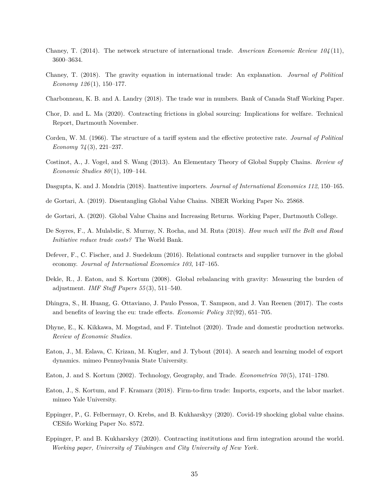- <span id="page-34-0"></span>Chaney, T. (2014). The network structure of international trade. *American Economic Review 104* (11), 3600–3634.
- Chaney, T. (2018). The gravity equation in international trade: An explanation. *Journal of Political Economy 126* (1), 150–177.
- Charbonneau, K. B. and A. Landry (2018). The trade war in numbers. Bank of Canada Staff Working Paper.
- Chor, D. and L. Ma (2020). Contracting frictions in global sourcing: Implications for welfare. Technical Report, Dartmouth November.
- Corden, W. M. (1966). The structure of a tariff system and the effective protective rate. *Journal of Political Economy 74* (3), 221–237.
- Costinot, A., J. Vogel, and S. Wang (2013). An Elementary Theory of Global Supply Chains. *Review of Economic Studies 80* (1), 109–144.
- Dasgupta, K. and J. Mondria (2018). Inattentive importers. *Journal of International Economics 112*, 150–165.
- de Gortari, A. (2019). Disentangling Global Value Chains. NBER Working Paper No. 25868.
- de Gortari, A. (2020). Global Value Chains and Increasing Returns. Working Paper, Dartmouth College.
- De Soyres, F., A. Mulabdic, S. Murray, N. Rocha, and M. Ruta (2018). *How much will the Belt and Road Initiative reduce trade costs?* The World Bank.
- Defever, F., C. Fischer, and J. Suedekum (2016). Relational contracts and supplier turnover in the global economy. *Journal of International Economics 103*, 147–165.
- Dekle, R., J. Eaton, and S. Kortum (2008). Global rebalancing with gravity: Measuring the burden of adjustment. *IMF Staff Papers 55* (3), 511–540.
- Dhingra, S., H. Huang, G. Ottaviano, J. Paulo Pessoa, T. Sampson, and J. Van Reenen (2017). The costs and benefits of leaving the eu: trade effects. *Economic Policy 32* (92), 651–705.
- Dhyne, E., K. Kikkawa, M. Mogstad, and F. Tintelnot (2020). Trade and domestic production networks. *Review of Economic Studies*.
- Eaton, J., M. Eslava, C. Krizan, M. Kugler, and J. Tybout (2014). A search and learning model of export dynamics. mimeo Pennsylvania State University.
- Eaton, J. and S. Kortum (2002). Technology, Geography, and Trade. *Econometrica 70* (5), 1741–1780.
- Eaton, J., S. Kortum, and F. Kramarz (2018). Firm-to-firm trade: Imports, exports, and the labor market. mimeo Yale University.
- Eppinger, P., G. Felbermayr, O. Krebs, and B. Kukharskyy (2020). Covid-19 shocking global value chains. CESifo Working Paper No. 8572.
- Eppinger, P. and B. Kukharskyy (2020). Contracting institutions and firm integration around the world. *Working paper, University of Täubingen and City University of New York*.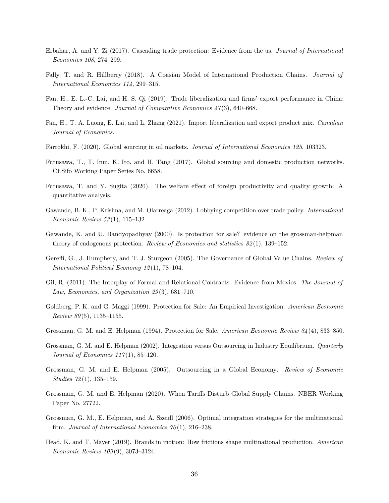- <span id="page-35-0"></span>Erbahar, A. and Y. Zi (2017). Cascading trade protection: Evidence from the us. *Journal of International Economics 108*, 274–299.
- Fally, T. and R. Hillberry (2018). A Coasian Model of International Production Chains. *Journal of International Economics 114*, 299–315.
- Fan, H., E. L.-C. Lai, and H. S. Qi (2019). Trade liberalization and firms' export performance in China: Theory and evidence. *Journal of Comparative Economics 47* (3), 640–668.
- Fan, H., T. A. Luong, E. Lai, and L. Zhang (2021). Import liberalization and export product mix. *Canadian Journal of Economics*.
- Farrokhi, F. (2020). Global sourcing in oil markets. *Journal of International Economics 125*, 103323.
- Furusawa, T., T. Inui, K. Ito, and H. Tang (2017). Global sourcing and domestic production networks. CESifo Working Paper Series No. 6658.
- Furusawa, T. and Y. Sugita (2020). The welfare effect of foreign productivity and quality growth: A quantitative analysis.
- Gawande, B. K., P. Krishna, and M. Olarreaga (2012). Lobbying competition over trade policy. *International Economic Review 53* (1), 115–132.
- Gawande, K. and U. Bandyopadhyay (2000). Is protection for sale? evidence on the grossman-helpman theory of endogenous protection. *Review of Economics and statistics 82* (1), 139–152.
- Gereffi, G., J. Humphery, and T. J. Sturgeon (2005). The Governance of Global Value Chains. *Review of International Political Economy 12* (1), 78–104.
- Gil, R. (2011). The Interplay of Formal and Relational Contracts: Evidence from Movies. *The Journal of Law, Economics, and Organization 29* (3), 681–710.
- Goldberg, P. K. and G. Maggi (1999). Protection for Sale: An Empirical Investigation. *American Economic Review 89* (5), 1135–1155.
- Grossman, G. M. and E. Helpman (1994). Protection for Sale. *American Economic Review 84* (4), 833–850.
- Grossman, G. M. and E. Helpman (2002). Integration versus Outsourcing in Industry Equilibrium. *Quarterly Journal of Economics 117* (1), 85–120.
- Grossman, G. M. and E. Helpman (2005). Outsourcing in a Global Economy. *Review of Economic Studies 72* (1), 135–159.
- Grossman, G. M. and E. Helpman (2020). When Tariffs Disturb Global Supply Chains. NBER Working Paper No. 27722.
- Grossman, G. M., E. Helpman, and A. Szeidl (2006). Optimal integration strategies for the multinational firm. *Journal of International Economics 70* (1), 216–238.
- Head, K. and T. Mayer (2019). Brands in motion: How frictions shape multinational production. *American Economic Review 109* (9), 3073–3124.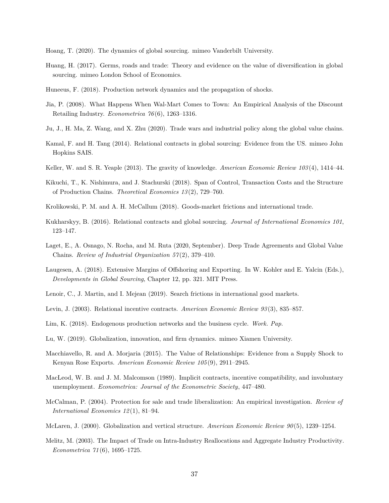- <span id="page-36-0"></span>Hoang, T. (2020). The dynamics of global sourcing. mimeo Vanderbilt University.
- Huang, H. (2017). Germs, roads and trade: Theory and evidence on the value of diversification in global sourcing. mimeo London School of Economics.
- Huneeus, F. (2018). Production network dynamics and the propagation of shocks.
- Jia, P. (2008). What Happens When Wal-Mart Comes to Town: An Empirical Analysis of the Discount Retailing Industry. *Econometrica 76* (6), 1263–1316.
- Ju, J., H. Ma, Z. Wang, and X. Zhu (2020). Trade wars and industrial policy along the global value chains.
- Kamal, F. and H. Tang (2014). Relational contracts in global sourcing: Evidence from the US. mimeo John Hopkins SAIS.
- Keller, W. and S. R. Yeaple (2013). The gravity of knowledge. *American Economic Review 103* (4), 1414–44.
- Kikuchi, T., K. Nishimura, and J. Stachurski (2018). Span of Control, Transaction Costs and the Structure of Production Chains. *Theoretical Economics 13* (2), 729–760.
- Krolikowski, P. M. and A. H. McCallum (2018). Goods-market frictions and international trade.
- Kukharskyy, B. (2016). Relational contracts and global sourcing. *Journal of International Economics 101*, 123–147.
- Laget, E., A. Osnago, N. Rocha, and M. Ruta (2020, September). Deep Trade Agreements and Global Value Chains. *Review of Industrial Organization 57* (2), 379–410.
- Laugesen, A. (2018). Extensive Margins of Offshoring and Exporting. In W. Kohler and E. Yalcin (Eds.), *Developments in Global Sourcing*, Chapter 12, pp. 321. MIT Press.
- Lenoir, C., J. Martin, and I. Mejean (2019). Search frictions in international good markets.
- Levin, J. (2003). Relational incentive contracts. *American Economic Review 93* (3), 835–857.
- Lim, K. (2018). Endogenous production networks and the business cycle. *Work. Pap*.
- Lu, W. (2019). Globalization, innovation, and firm dynamics. mimeo Xiamen University.
- Macchiavello, R. and A. Morjaria (2015). The Value of Relationships: Evidence from a Supply Shock to Kenyan Rose Exports. *American Economic Review 105* (9), 2911–2945.
- MacLeod, W. B. and J. M. Malcomson (1989). Implicit contracts, incentive compatibility, and involuntary unemployment. *Econometrica: Journal of the Econometric Society*, 447–480.
- McCalman, P. (2004). Protection for sale and trade liberalization: An empirical investigation. *Review of International Economics 12* (1), 81–94.
- McLaren, J. (2000). Globalization and vertical structure. *American Economic Review 90* (5), 1239–1254.
- Melitz, M. (2003). The Impact of Trade on Intra-Industry Reallocations and Aggregate Industry Productivity. *Econometrica 71* (6), 1695–1725.